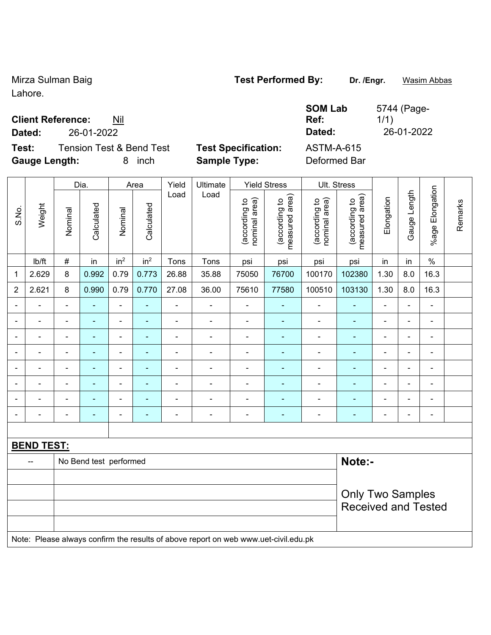Mirza Sulman Baig **Test Performed By:** Dr. /Engr. **Wasim Abbas** Lahore.

**Client Reference:** Nil

**Dated:** 26-01-2022 **Dated:** 26-01-2022

**Test:** Tension Test & Bend Test **Test Specification:** ASTM-A-615 **Gauge Length:** 

| <b>SOM</b> |
|------------|
| Ref:       |

**OM Lab** 5744 (Page-1/1)

| ı.           |            |        | inch      |          | <b>Sample Type:</b> |                                                  | Deformed Bar                                              |                                        |                                                                               |            |
|--------------|------------|--------|-----------|----------|---------------------|--------------------------------------------------|-----------------------------------------------------------|----------------------------------------|-------------------------------------------------------------------------------|------------|
| Dia.<br>Area |            |        | Yield     | Ultimate |                     | <b>Yield Stress</b>                              | Ult. Stress                                               |                                        |                                                                               |            |
|              | Calculated | Nomina | alculated | Load     | Load                | ିଚ<br>₽<br>Φ<br>Γg<br>ಕ<br>(accordii)<br>nominal | rea)<br>₽<br>פַ<br>ω<br>ヮ<br>ᅙ<br>Φ<br>(accor<br>asu<br>Φ | ea)<br>್ರ<br>(according<br>nominal are | ଟ୍ଟ<br>$\mathsf{a}$<br>စ္<br>(according<br>$\overline{\sigma}$<br>asured<br>Φ | Elongation |

|                |                   |                            | Dia.                   |                 | Area                     | Yield                    | Ultimate                                                                            |                                | Yield Stress                    | UIt. Stress                    |                                 |                          |                |                 |         |
|----------------|-------------------|----------------------------|------------------------|-----------------|--------------------------|--------------------------|-------------------------------------------------------------------------------------|--------------------------------|---------------------------------|--------------------------------|---------------------------------|--------------------------|----------------|-----------------|---------|
| S.No.          | Weight            | Nominal                    | Calculated             | Nominal         | Calculated               | Load                     | Load                                                                                | nominal area)<br>(according to | measured area)<br>(according to | (according to<br>nominal area) | measured area)<br>(according to | Elongation               | Gauge Length   | %age Elongation | Remarks |
|                | Ib/ft             | $\#$                       | in                     | in <sup>2</sup> | in <sup>2</sup>          | Tons                     | Tons                                                                                | psi                            | psi                             | psi                            | psi                             | in                       | in             | $\%$            |         |
| $\mathbf{1}$   | 2.629             | 8                          | 0.992                  | 0.79            | 0.773                    | 26.88                    | 35.88                                                                               | 75050                          | 76700                           | 100170                         | 102380                          | 1.30                     | 8.0            | 16.3            |         |
| $\overline{2}$ | 2.621             | 8                          | 0.990                  | 0.79            | 0.770                    | 27.08                    | 36.00                                                                               | 75610                          | 77580                           | 100510                         | 103130                          | 1.30                     | 8.0            | 16.3            |         |
|                |                   | $\blacksquare$             |                        | $\blacksquare$  | ۰                        | $\blacksquare$           |                                                                                     | $\blacksquare$                 |                                 | $\blacksquare$                 |                                 | $\blacksquare$           | L,             | Ē,              |         |
|                |                   | $\blacksquare$             | ٠                      | -               | $\overline{\phantom{0}}$ | $\overline{\phantom{0}}$ | $\overline{a}$                                                                      | $\blacksquare$                 | $\overline{a}$                  | $\overline{a}$                 | ٠                               | $\overline{\phantom{0}}$ | -              | $\blacksquare$  |         |
|                |                   | $\overline{a}$             | $\blacksquare$         | $\blacksquare$  | ۰                        | $\overline{\phantom{a}}$ | $\overline{\phantom{a}}$                                                            | $\blacksquare$                 | ۰                               | $\blacksquare$                 | $\blacksquare$                  | $\blacksquare$           | $\blacksquare$ | $\blacksquare$  |         |
|                |                   | $\blacksquare$             | $\blacksquare$         | ÷               | ۰                        | $\blacksquare$           | $\overline{\phantom{a}}$                                                            | $\blacksquare$                 | ÷                               | $\blacksquare$                 | $\blacksquare$                  | $\blacksquare$           | ä,             | ä,              |         |
|                |                   | $\blacksquare$             | $\blacksquare$         |                 | ۰                        |                          | $\blacksquare$                                                                      | $\blacksquare$                 | $\blacksquare$                  | $\blacksquare$                 | $\blacksquare$                  |                          | ä,             | $\blacksquare$  |         |
|                |                   |                            |                        |                 |                          |                          | $\blacksquare$                                                                      | $\blacksquare$                 | ٠                               | $\overline{\phantom{0}}$       | ä,                              |                          | $\blacksquare$ | $\blacksquare$  |         |
|                |                   |                            |                        | ä,              |                          | -                        |                                                                                     | ä,                             |                                 |                                |                                 |                          | -              | ä,              |         |
|                |                   | $\blacksquare$             | $\blacksquare$         | $\blacksquare$  | $\blacksquare$           | $\blacksquare$           | $\overline{\phantom{a}}$                                                            | $\blacksquare$                 | $\blacksquare$                  | $\blacksquare$                 | $\blacksquare$                  | $\blacksquare$           | $\overline{a}$ | $\blacksquare$  |         |
|                |                   |                            |                        |                 |                          |                          |                                                                                     |                                |                                 |                                |                                 |                          |                |                 |         |
|                | <b>BEND TEST:</b> |                            |                        |                 |                          |                          |                                                                                     |                                |                                 |                                |                                 |                          |                |                 |         |
|                |                   |                            | No Bend test performed |                 |                          |                          |                                                                                     |                                |                                 |                                | Note:-                          |                          |                |                 |         |
|                |                   |                            |                        |                 |                          |                          |                                                                                     |                                |                                 |                                |                                 |                          |                |                 |         |
|                |                   |                            |                        |                 |                          |                          |                                                                                     |                                |                                 |                                | <b>Only Two Samples</b>         |                          |                |                 |         |
|                |                   | <b>Received and Tested</b> |                        |                 |                          |                          |                                                                                     |                                |                                 |                                |                                 |                          |                |                 |         |
|                |                   |                            |                        |                 |                          |                          |                                                                                     |                                |                                 |                                |                                 |                          |                |                 |         |
|                |                   |                            |                        |                 |                          |                          | Note: Please always confirm the results of above report on web www.uet-civil.edu.pk |                                |                                 |                                |                                 |                          |                |                 |         |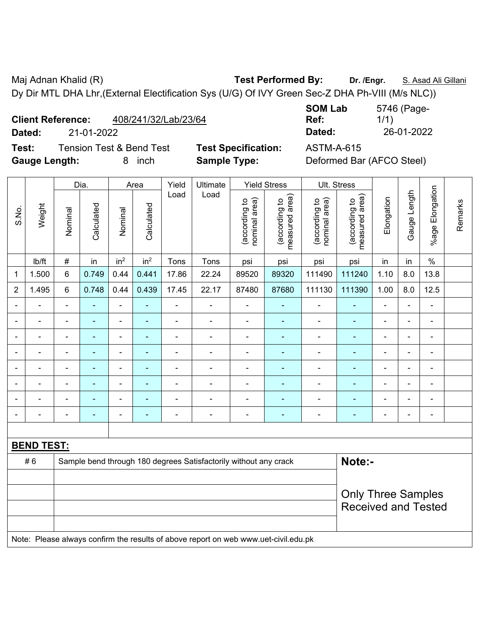Maj Adnan Khalid (R) **Test Performed By:** Dr. /Engr. **S. Asad Ali Gillani** Ali Gillani Dy Dir MTL DHA Lhr,(External Electification Sys (U/G) Of IVY Green Sec-Z DHA Ph-VIII (M/s NLC))

**Dated:** 21-01-2022 **Dated:** 26-01-2022

**Test:** Tension Test & Bend Test **Test Specification:** ASTM-A-615 **Gauge Length:** 8 inch **Sample Type:** Deformed Bar (AFCO Steel)

| <b>SOM Lab</b> | 5746 (Page- |
|----------------|-------------|
| Ref:           | 1/1)        |
| Dated:         | 26-01-2022  |
|                |             |

|                |                   |                | Dia.                                                             |                 | Area                     | Yield          | Ultimate                 |                                | <b>Yield Stress</b>             |                                | Ult. Stress                     |                          |                |                       |         |
|----------------|-------------------|----------------|------------------------------------------------------------------|-----------------|--------------------------|----------------|--------------------------|--------------------------------|---------------------------------|--------------------------------|---------------------------------|--------------------------|----------------|-----------------------|---------|
| S.No.          | Weight            | Nominal        | Calculated                                                       | Nominal         | Calculated               | Load           | Load                     | nominal area)<br>(according to | measured area)<br>(according to | nominal area)<br>(according to | measured area)<br>(according to | Elongation               | Gauge Length   | Elongation<br>$%$ age | Remarks |
|                | lb/ft             | $\#$           | in                                                               | in <sup>2</sup> | in <sup>2</sup>          | Tons           | Tons                     | psi                            | psi                             | psi                            | psi                             | in                       | in             | $\%$                  |         |
| $\mathbf{1}$   | 1.500             | 6              | 0.749                                                            | 0.44            | 0.441                    | 17.86          | 22.24                    | 89520                          | 89320                           | 111490                         | 111240                          | 1.10                     | 8.0            | 13.8                  |         |
| $\overline{2}$ | 1.495             | 6              | 0.748                                                            | 0.44            | 0.439                    | 17.45          | 22.17                    | 87480                          | 87680                           | 111130                         | 111390                          | 1.00                     | 8.0            | 12.5                  |         |
|                |                   | ÷              |                                                                  | $\blacksquare$  | $\overline{\phantom{a}}$ |                |                          | $\blacksquare$                 | ÷                               | $\blacksquare$                 | $\blacksquare$                  | $\blacksquare$           | $\blacksquare$ |                       |         |
|                |                   | -              | $\overline{\phantom{0}}$                                         | ÷               | ۰                        | $\blacksquare$ | $\blacksquare$           | $\overline{\phantom{a}}$       | ۰                               | $\blacksquare$                 | $\overline{\phantom{0}}$        | $\overline{\phantom{0}}$ | $\blacksquare$ | $\blacksquare$        |         |
|                |                   | $\blacksquare$ | $\blacksquare$                                                   | $\blacksquare$  | ٠                        | $\blacksquare$ | $\blacksquare$           | $\blacksquare$                 | $\blacksquare$                  | $\blacksquare$                 | ٠                               | $\blacksquare$           | $\blacksquare$ | $\blacksquare$        |         |
|                |                   | $\blacksquare$ | $\blacksquare$                                                   | $\blacksquare$  | $\overline{\phantom{a}}$ | $\blacksquare$ |                          | $\blacksquare$                 | $\overline{\phantom{a}}$        | $\blacksquare$                 | $\blacksquare$                  | $\overline{\phantom{a}}$ | $\blacksquare$ | $\blacksquare$        |         |
|                |                   | -              | $\blacksquare$                                                   | ٠               | ۰                        |                | $\blacksquare$           | ٠                              | ۰                               | $\overline{\phantom{0}}$       | ٠                               | ٠                        | -              | $\blacksquare$        |         |
|                |                   | ä,             | $\blacksquare$                                                   | $\blacksquare$  | ÷                        | $\blacksquare$ | $\overline{\phantom{0}}$ | $\blacksquare$                 | $\blacksquare$                  | $\blacksquare$                 | ٠                               | $\blacksquare$           | $\blacksquare$ | $\blacksquare$        |         |
|                |                   | $\blacksquare$ | $\blacksquare$                                                   | $\blacksquare$  |                          |                |                          | $\blacksquare$                 | $\blacksquare$                  | $\overline{\phantom{a}}$       | $\blacksquare$                  | $\blacksquare$           |                | $\blacksquare$        |         |
|                |                   | $\blacksquare$ | $\blacksquare$                                                   | ٠               | $\overline{\phantom{0}}$ | $\blacksquare$ | $\blacksquare$           | $\qquad \qquad \blacksquare$   | ۰                               | $\overline{\phantom{0}}$       | $\overline{\phantom{0}}$        | $\blacksquare$           | ۰              | $\blacksquare$        |         |
|                |                   |                |                                                                  |                 |                          |                |                          |                                |                                 |                                |                                 |                          |                |                       |         |
|                | <b>BEND TEST:</b> |                |                                                                  |                 |                          |                |                          |                                |                                 |                                |                                 |                          |                |                       |         |
|                | #6                |                | Sample bend through 180 degrees Satisfactorily without any crack |                 | Note:-                   |                |                          |                                |                                 |                                |                                 |                          |                |                       |         |
|                |                   |                |                                                                  |                 |                          |                |                          |                                |                                 |                                |                                 |                          |                |                       |         |
|                |                   |                |                                                                  |                 |                          |                |                          |                                |                                 |                                | <b>Only Three Samples</b>       |                          |                |                       |         |
|                |                   |                |                                                                  |                 |                          |                |                          |                                |                                 |                                | <b>Received and Tested</b>      |                          |                |                       |         |
|                |                   |                |                                                                  |                 |                          |                |                          |                                |                                 |                                |                                 |                          |                |                       |         |

Note: Please always confirm the results of above report on web www.uet-civil.edu.pk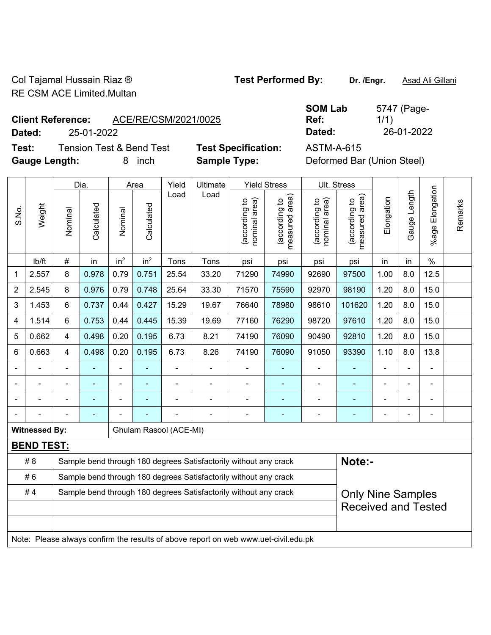Col Tajamal Hussain Riaz ® **Test Performed By: Dr. /Engr.** Asad Ali Gillani RE CSM ACE Limited.Multan

**Test:** Tension Test & Bend Test **Test Specification:** ASTM-A-615 **Gauge Length:** 8 inch **Sample Type:** Deformed Bar (Union Steel)

|                          |            |                      | <b>SOM Lab</b> | 5747 (Page- |
|--------------------------|------------|----------------------|----------------|-------------|
| <b>Client Reference:</b> |            | ACE/RE/CSM/2021/0025 | Ref:           | 1/1)        |
| Dated:                   | 25-01-2022 |                      | Dated:         | 26-01-2022  |

|                |                      |                | Dia.                                                             |                              | Area            | Yield                  | Ultimate                                                                            |                                | <b>Yield Stress</b>             |                                | Ult. Stress                     |                |              |                          |         |
|----------------|----------------------|----------------|------------------------------------------------------------------|------------------------------|-----------------|------------------------|-------------------------------------------------------------------------------------|--------------------------------|---------------------------------|--------------------------------|---------------------------------|----------------|--------------|--------------------------|---------|
| S.No.          | Weight               | Nominal        | Calculated                                                       | Nominal                      | Calculated      | Load                   | Load                                                                                | nominal area)<br>(according to | (according to<br>measured area) | nominal area)<br>(according to | (according to<br>measured area) | Elongation     | Gauge Length | Elongation<br>$%$ age    | Remarks |
|                | lb/ft                | #              | in                                                               | in <sup>2</sup>              | in <sup>2</sup> | Tons                   | Tons                                                                                | psi                            | psi                             | psi                            | psi                             | in             | in           | $\%$                     |         |
| 1              | 2.557                | 8              | 0.978                                                            | 0.79                         | 0.751           | 25.54                  | 33.20                                                                               | 71290                          | 74990                           | 92690                          | 97500                           | 1.00           | 8.0          | 12.5                     |         |
| $\overline{2}$ | 2.545                | 8              | 0.976                                                            | 0.79                         | 0.748           | 25.64                  | 33.30                                                                               | 71570                          | 75590                           | 92970                          | 98190                           | 1.20           | 8.0          | 15.0                     |         |
| 3              | 1.453                | 6              | 0.737                                                            | 0.44                         | 0.427           | 15.29                  | 19.67                                                                               | 76640                          | 78980                           | 98610                          | 101620                          | 1.20           | 8.0          | 15.0                     |         |
| 4              | 1.514                | 6              | 0.753                                                            | 0.44                         | 0.445           | 15.39                  | 19.69                                                                               | 77160                          | 76290                           | 98720                          | 97610                           | 1.20           | 8.0          | 15.0                     |         |
| 5              | 0.662                | $\overline{4}$ | 0.498                                                            | 0.20                         | 0.195           | 6.73                   | 8.21                                                                                | 74190                          | 76090                           | 90490                          | 92810                           | 1.20           | 8.0          | 15.0                     |         |
| 6              | 0.663                | $\overline{4}$ | 0.498                                                            | 0.20                         | 0.195           | 6.73                   | 8.26                                                                                | 74190                          | 76090                           | 91050                          | 93390                           | 1.10           | 8.0          | 13.8                     |         |
|                |                      |                |                                                                  | ä,                           |                 |                        |                                                                                     |                                |                                 |                                |                                 |                |              |                          |         |
|                | $\blacksquare$       |                | $\blacksquare$                                                   | $\qquad \qquad \blacksquare$ |                 | $\blacksquare$         | $\frac{1}{2}$                                                                       |                                | ۰                               | ۰                              | ÷                               | $\blacksquare$ |              | $\blacksquare$           |         |
|                |                      |                | $\blacksquare$                                                   | ÷,                           |                 |                        | ÷                                                                                   | $\blacksquare$                 | ۰                               | ۰                              | ۰                               |                |              | $\overline{\phantom{a}}$ |         |
|                |                      |                |                                                                  |                              |                 |                        |                                                                                     | $\blacksquare$                 | ÷                               | ۰                              | ÷                               |                |              | $\blacksquare$           |         |
|                | <b>Witnessed By:</b> |                |                                                                  |                              |                 | Ghulam Rasool (ACE-MI) |                                                                                     |                                |                                 |                                |                                 |                |              |                          |         |
|                | <b>BEND TEST:</b>    |                |                                                                  |                              |                 |                        |                                                                                     |                                |                                 |                                |                                 |                |              |                          |         |
|                | #8                   |                |                                                                  |                              |                 |                        | Sample bend through 180 degrees Satisfactorily without any crack                    |                                |                                 |                                | Note:-                          |                |              |                          |         |
|                | #6                   |                | Sample bend through 180 degrees Satisfactorily without any crack |                              |                 |                        |                                                                                     |                                |                                 |                                |                                 |                |              |                          |         |
|                | #4                   |                |                                                                  |                              |                 |                        | Sample bend through 180 degrees Satisfactorily without any crack                    |                                |                                 |                                | <b>Only Nine Samples</b>        |                |              |                          |         |
|                |                      |                |                                                                  |                              |                 |                        |                                                                                     |                                |                                 |                                | <b>Received and Tested</b>      |                |              |                          |         |
|                |                      |                |                                                                  |                              |                 |                        |                                                                                     |                                |                                 |                                |                                 |                |              |                          |         |
|                |                      |                |                                                                  |                              |                 |                        | Note: Please always confirm the results of above report on web www.uet-civil.edu.pk |                                |                                 |                                |                                 |                |              |                          |         |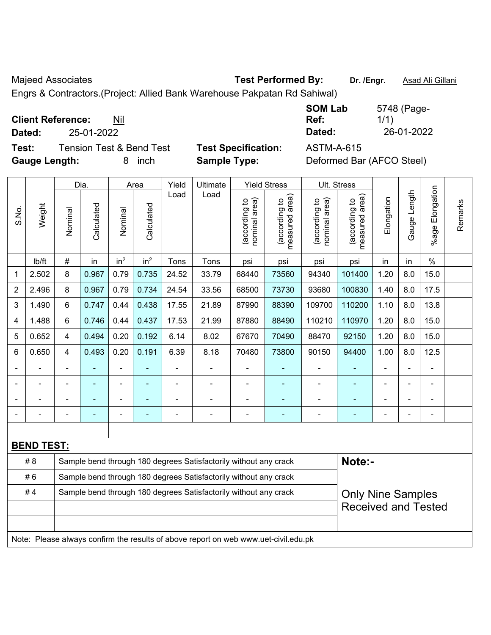Majeed Associates **Test Performed By:** Dr. /Engr. **Asad Ali Gillani** Associates **Number 2016** 2017

Engrs & Contractors.(Project: Allied Bank Warehouse Pakpatan Rd Sahiwal)

**Client Reference:** Nil

**Test:** Tension Test & Bend Test **Test Specification:** ASTM-A-615 **Gauge Length:** 8 inch **Sample Type:** Deformed Bar (AFCO Steel)

**SOM Lab Ref:**  5748 (Page-1/1) **Dated:** 25-01-2022 **Dated:** 26-01-2022

|                |                   |                                                                  | Dia.       |                              | Area            | Yield          | Ultimate                                                                            |                                | <b>Yield Stress</b>                         |                                | Ult. Stress                     |                |                          |                 |         |
|----------------|-------------------|------------------------------------------------------------------|------------|------------------------------|-----------------|----------------|-------------------------------------------------------------------------------------|--------------------------------|---------------------------------------------|--------------------------------|---------------------------------|----------------|--------------------------|-----------------|---------|
| S.No.          | Weight            | Nominal                                                          | Calculated | Nominal                      | Calculated      | Load           | Load                                                                                | nominal area)<br>(according to | (according to<br>neasured area)<br>measured | nominal area)<br>(according to | measured area)<br>(according to | Elongation     | Gauge Length             | %age Elongation | Remarks |
|                | lb/ft             | $\#$                                                             | in         | in <sup>2</sup>              | in <sup>2</sup> | Tons           | Tons                                                                                | psi                            | psi                                         | psi                            | psi                             | in             | in                       | $\frac{0}{0}$   |         |
| 1              | 2.502             | 8                                                                | 0.967      | 0.79                         | 0.735           | 24.52          | 33.79                                                                               | 68440                          | 73560                                       | 94340                          | 101400                          | 1.20           | 8.0                      | 15.0            |         |
| $\overline{2}$ | 2.496             | 8                                                                | 0.967      | 0.79                         | 0.734           | 24.54          | 33.56                                                                               | 68500                          | 73730                                       | 93680                          | 100830                          | 1.40           | 8.0                      | 17.5            |         |
| 3              | 1.490             | 6                                                                | 0.747      | 0.44                         | 0.438           | 17.55          | 21.89                                                                               | 87990                          | 88390                                       | 109700                         | 110200                          | 1.10           | 8.0                      | 13.8            |         |
| 4              | 1.488             | 6                                                                | 0.746      | 0.44                         | 0.437           | 17.53          | 21.99                                                                               | 87880                          | 88490                                       | 110210                         | 110970                          | 1.20           | 8.0                      | 15.0            |         |
| 5              | 0.652             | 4                                                                | 0.494      | 0.20                         | 0.192           | 6.14           | 8.02                                                                                | 67670                          | 70490                                       | 88470                          | 92150                           | 1.20           | 8.0                      | 15.0            |         |
| 6              | 0.650             | 4                                                                | 0.493      | 0.20                         | 0.191           | 6.39           | 8.18                                                                                | 70480                          | 73800                                       | 90150                          | 94400                           | 1.00           | 8.0                      | 12.5            |         |
|                |                   | $\blacksquare$                                                   |            | ÷                            |                 | ä,             |                                                                                     | $\blacksquare$                 |                                             | $\blacksquare$                 |                                 |                |                          | $\blacksquare$  |         |
|                | $\blacksquare$    | $\blacksquare$                                                   | ÷,         | ÷,                           | ÷               | $\blacksquare$ | $\blacksquare$                                                                      | $\blacksquare$                 | $\blacksquare$                              | $\qquad \qquad \blacksquare$   | $\blacksquare$                  | $\blacksquare$ |                          | $\blacksquare$  |         |
|                |                   | $\blacksquare$                                                   | ä,         | $\qquad \qquad \blacksquare$ | $\overline{a}$  |                | $\blacksquare$                                                                      | $\blacksquare$                 | $\blacksquare$                              | -                              | ÷                               |                |                          | $\blacksquare$  |         |
|                |                   |                                                                  |            |                              |                 |                |                                                                                     | $\blacksquare$                 | ä,                                          | $\blacksquare$                 |                                 |                |                          | L,              |         |
|                |                   |                                                                  |            |                              |                 |                |                                                                                     |                                |                                             |                                |                                 |                |                          |                 |         |
|                | <b>BEND TEST:</b> |                                                                  |            |                              |                 |                |                                                                                     |                                |                                             |                                |                                 |                |                          |                 |         |
|                | # 8               |                                                                  |            |                              |                 |                | Sample bend through 180 degrees Satisfactorily without any crack                    |                                |                                             |                                | Note:-                          |                |                          |                 |         |
|                | #6                | Sample bend through 180 degrees Satisfactorily without any crack |            |                              |                 |                |                                                                                     |                                |                                             |                                |                                 |                |                          |                 |         |
|                | #4                |                                                                  |            |                              |                 |                | Sample bend through 180 degrees Satisfactorily without any crack                    |                                |                                             |                                |                                 |                | <b>Only Nine Samples</b> |                 |         |
|                |                   |                                                                  |            |                              |                 |                |                                                                                     |                                |                                             |                                | <b>Received and Tested</b>      |                |                          |                 |         |
|                |                   |                                                                  |            |                              |                 |                |                                                                                     |                                |                                             |                                |                                 |                |                          |                 |         |
|                |                   |                                                                  |            |                              |                 |                | Note: Please always confirm the results of above report on web www.uet-civil.edu.pk |                                |                                             |                                |                                 |                |                          |                 |         |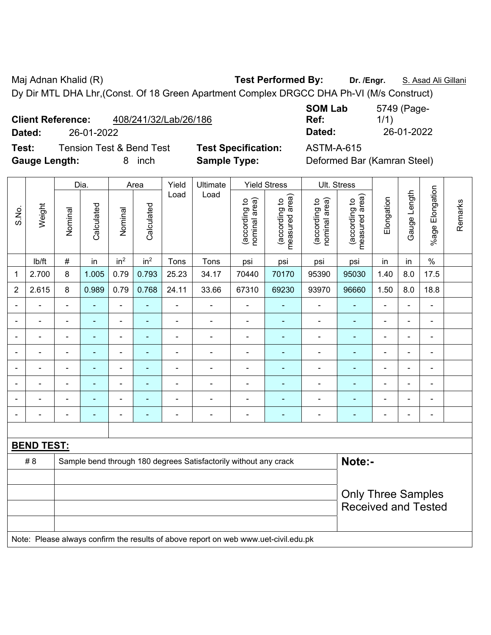Maj Adnan Khalid (R) **Test Performed By:** Dr. /Engr. **S. Asad Ali Gillani** Ali Gillani Dy Dir MTL DHA Lhr,(Const. Of 18 Green Apartment Complex DRGCC DHA Ph-VI (M/s Construct)

| 408/241/32/Lab/26/186<br><b>Client Reference:</b> |
|---------------------------------------------------|
|---------------------------------------------------|

**Test:** Tension Test & Bend Test **Test Specification:** ASTM-A-615 Gauge Length: 8 inch **Sample Type:** 

**SOM Lab Ref:**  5749 (Page-1/1) **Dated:** 26-01-2022 **Dated:** 26-01-2022

| Deformed Bar (Kamran Steel) |  |  |
|-----------------------------|--|--|
|-----------------------------|--|--|

| Dia.<br>Area   |                   |                           |                |                 |                          | Yield          |                                                                                     | Ultimate                       |                                 | <b>Yield Stress</b>            |                                 | Ult. Stress    |                |                 |         |  |
|----------------|-------------------|---------------------------|----------------|-----------------|--------------------------|----------------|-------------------------------------------------------------------------------------|--------------------------------|---------------------------------|--------------------------------|---------------------------------|----------------|----------------|-----------------|---------|--|
| S.No.          | Weight            | Nominal                   | Calculated     | Nominal         | Calculated               | Load           | Load                                                                                | nominal area)<br>(according to | (according to<br>measured area) | nominal area)<br>(according to | measured area)<br>(according to | Elongation     | Gauge Length   | %age Elongation | Remarks |  |
|                | lb/ft             | $\#$                      | in             | in <sup>2</sup> | in <sup>2</sup>          | Tons           | Tons                                                                                | psi                            | psi                             | psi                            | psi                             | in             | in             | $\%$            |         |  |
| 1              | 2.700             | 8                         | 1.005          | 0.79            | 0.793                    | 25.23          | 34.17                                                                               | 70440                          | 70170                           | 95390                          | 95030                           | 1.40           | 8.0            | 17.5            |         |  |
| $\overline{2}$ | 2.615             | 8                         | 0.989          | 0.79            | 0.768                    | 24.11          | 33.66                                                                               | 67310                          | 69230                           | 93970                          | 96660                           | 1.50           | 8.0            | 18.8            |         |  |
|                |                   |                           |                | $\blacksquare$  |                          |                |                                                                                     |                                |                                 | $\blacksquare$                 |                                 |                | L.             | ä,              |         |  |
|                |                   |                           | ÷,             | $\blacksquare$  |                          |                |                                                                                     | $\blacksquare$                 | ٠                               | $\overline{\phantom{a}}$       | $\blacksquare$                  | ٠              | ÷              | $\blacksquare$  |         |  |
|                |                   | $\blacksquare$            |                |                 | $\blacksquare$           |                |                                                                                     | $\blacksquare$                 | ٠                               | ٠                              |                                 |                | $\blacksquare$ | $\blacksquare$  |         |  |
|                |                   | $\blacksquare$            | $\blacksquare$ | $\blacksquare$  | ٠                        | $\blacksquare$ | $\blacksquare$                                                                      | $\blacksquare$                 | $\blacksquare$                  | ۰                              | ۰                               | $\blacksquare$ | $\blacksquare$ | $\blacksquare$  |         |  |
| $\blacksquare$ | $\blacksquare$    | $\blacksquare$            | $\blacksquare$ | $\blacksquare$  | $\blacksquare$           | $\blacksquare$ | $\blacksquare$                                                                      | $\blacksquare$                 | $\blacksquare$                  | $\blacksquare$                 | ÷,                              | $\blacksquare$ | ä,             | $\blacksquare$  |         |  |
|                |                   | $\blacksquare$            | $\blacksquare$ | $\blacksquare$  | $\overline{\phantom{0}}$ | $\blacksquare$ | $\blacksquare$                                                                      | $\blacksquare$                 | $\overline{\phantom{0}}$        | $\overline{\phantom{a}}$       | $\blacksquare$                  | $\blacksquare$ | L,             | $\blacksquare$  |         |  |
|                | $\blacksquare$    | $\blacksquare$            | $\blacksquare$ | $\blacksquare$  | $\blacksquare$           | $\blacksquare$ | $\blacksquare$                                                                      | $\overline{\phantom{a}}$       | $\blacksquare$                  | $\blacksquare$                 | $\blacksquare$                  | $\blacksquare$ | ÷              | $\blacksquare$  |         |  |
|                | $\blacksquare$    | $\blacksquare$            | ÷,             | $\blacksquare$  | $\blacksquare$           | $\blacksquare$ | $\blacksquare$                                                                      | $\overline{\phantom{a}}$       | ÷                               | $\blacksquare$                 | $\blacksquare$                  | $\blacksquare$ | ÷,             | $\blacksquare$  |         |  |
|                |                   |                           |                |                 |                          |                |                                                                                     |                                |                                 |                                |                                 |                |                |                 |         |  |
|                | <b>BEND TEST:</b> |                           |                |                 |                          |                |                                                                                     |                                |                                 |                                |                                 |                |                |                 |         |  |
|                | # 8               |                           |                |                 |                          |                | Sample bend through 180 degrees Satisfactorily without any crack                    |                                |                                 |                                | Note:-                          |                |                |                 |         |  |
|                |                   |                           |                |                 |                          |                |                                                                                     |                                |                                 |                                |                                 |                |                |                 |         |  |
|                |                   | <b>Only Three Samples</b> |                |                 |                          |                |                                                                                     |                                |                                 |                                |                                 |                |                |                 |         |  |
|                |                   |                           |                |                 |                          |                |                                                                                     |                                |                                 |                                | <b>Received and Tested</b>      |                |                |                 |         |  |
|                |                   |                           |                |                 |                          |                |                                                                                     |                                |                                 |                                |                                 |                |                |                 |         |  |
|                |                   |                           |                |                 |                          |                | Note: Please always confirm the results of above report on web www.uet-civil.edu.pk |                                |                                 |                                |                                 |                |                |                 |         |  |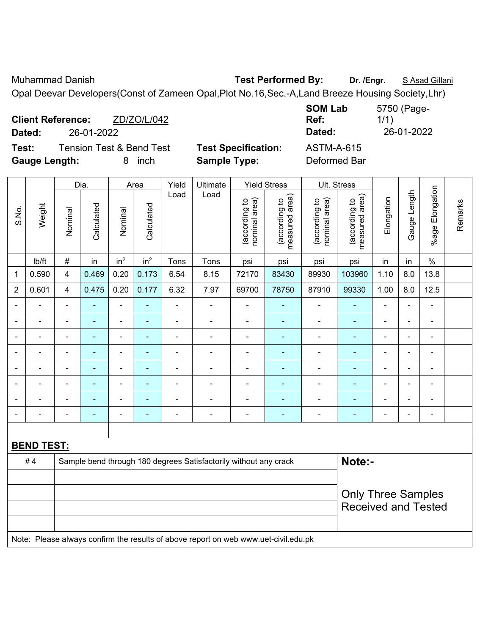Muhammad Danish **Test Performed By:** Dr. /Engr. **S** Asad Gillani

Opal Deevar Developers(Const of Zameen Opal,Plot No.16,Sec.-A,Land Breeze Housing Society,Lhr)

| <b>Client Reference:</b> |                                     | ZD/ZO/L/042 |                            | <b>SOM Lab</b><br>Ref: | 5750 (Page-<br>1/1) |
|--------------------------|-------------------------------------|-------------|----------------------------|------------------------|---------------------|
| Dated:                   | 26-01-2022                          |             |                            | Dated:                 | 26-01-2022          |
| Test:                    | <b>Tension Test &amp; Bend Test</b> |             | <b>Test Specification:</b> | <b>ASTM-A-615</b>      |                     |
| <b>Gauge Length:</b>     |                                     | inch<br>8   | <b>Sample Type:</b>        | Deformed Bar           |                     |

|                |                   |                           | Dia.           |                          | Area            | Yield          | Ultimate                                                                            |                                | <b>Yield Stress</b>             |                                | Ult. Stress                     |                |                          |                         |         |  |
|----------------|-------------------|---------------------------|----------------|--------------------------|-----------------|----------------|-------------------------------------------------------------------------------------|--------------------------------|---------------------------------|--------------------------------|---------------------------------|----------------|--------------------------|-------------------------|---------|--|
| S.No.          | Weight            | Nominal                   | Calculated     | Nominal                  | Calculated      | Load           | Load                                                                                | nominal area)<br>(according to | (according to<br>measured area) | nominal area)<br>(according to | (according to<br>measured area) | Elongation     | Gauge Length             | Elongation<br>$%$ age l | Remarks |  |
|                | Ib/ft             | $\#$                      | in             | in <sup>2</sup>          | in <sup>2</sup> | Tons           | Tons                                                                                | psi                            | psi                             | psi                            | psi                             | in             | in                       | $\%$                    |         |  |
| 1              | 0.590             | $\overline{\mathbf{4}}$   | 0.469          | 0.20                     | 0.173           | 6.54           | 8.15                                                                                | 72170                          | 83430                           | 89930                          | 103960                          | 1.10           | 8.0                      | 13.8                    |         |  |
| $\overline{2}$ | 0.601             | $\overline{\mathbf{4}}$   | 0.475          | 0.20                     | 0.177           | 6.32           | 7.97                                                                                | 69700                          | 78750                           | 87910                          | 99330                           | 1.00           | 8.0                      | 12.5                    |         |  |
| $\blacksquare$ | $\blacksquare$    | $\blacksquare$            | $\blacksquare$ | ÷,                       | $\blacksquare$  | $\blacksquare$ | $\blacksquare$                                                                      | $\blacksquare$                 | $\blacksquare$                  | $\blacksquare$                 | $\blacksquare$                  | $\blacksquare$ | $\blacksquare$           | ä,                      |         |  |
|                | $\blacksquare$    | $\blacksquare$            | $\blacksquare$ | $\blacksquare$           | $\blacksquare$  | $\blacksquare$ | ä,                                                                                  | $\blacksquare$                 | $\blacksquare$                  | $\blacksquare$                 | $\blacksquare$                  |                | $\overline{\phantom{0}}$ | $\blacksquare$          |         |  |
| $\blacksquare$ | ÷                 | $\blacksquare$            | ÷              | $\blacksquare$           | $\blacksquare$  | $\blacksquare$ | $\frac{1}{2}$                                                                       | $\overline{\phantom{a}}$       | $\blacksquare$                  | ۰                              | $\blacksquare$                  | $\blacksquare$ | $\overline{\phantom{0}}$ | ÷,                      |         |  |
|                | $\blacksquare$    | $\blacksquare$            | $\blacksquare$ | $\blacksquare$           | $\blacksquare$  | $\blacksquare$ | ä,                                                                                  | ä,                             | $\blacksquare$                  | $\blacksquare$                 | $\blacksquare$                  |                | $\overline{\phantom{0}}$ | $\blacksquare$          |         |  |
| ٠              | $\blacksquare$    | $\blacksquare$            | $\blacksquare$ | $\overline{\phantom{a}}$ | $\blacksquare$  | $\blacksquare$ | $\overline{\phantom{a}}$                                                            | $\blacksquare$                 | $\blacksquare$                  | ۰                              | $\blacksquare$                  | $\blacksquare$ | ٠                        | $\blacksquare$          |         |  |
|                |                   | $\blacksquare$            | $\blacksquare$ | $\blacksquare$           | ٠               |                |                                                                                     | $\blacksquare$                 | ä,                              | ÷                              | ÷                               |                |                          | $\blacksquare$          |         |  |
|                |                   |                           |                | $\blacksquare$           |                 |                |                                                                                     |                                |                                 |                                |                                 |                |                          |                         |         |  |
| $\blacksquare$ | $\blacksquare$    | $\overline{\phantom{0}}$  | ÷              | $\blacksquare$           | $\blacksquare$  | $\blacksquare$ | $\blacksquare$                                                                      | $\blacksquare$                 | $\blacksquare$                  | $\blacksquare$                 | $\blacksquare$                  | $\blacksquare$ | i.                       | $\blacksquare$          |         |  |
|                |                   |                           |                |                          |                 |                |                                                                                     |                                |                                 |                                |                                 |                |                          |                         |         |  |
|                | <b>BEND TEST:</b> |                           |                |                          |                 |                |                                                                                     |                                |                                 |                                |                                 |                |                          |                         |         |  |
|                | #4                |                           |                |                          |                 |                | Sample bend through 180 degrees Satisfactorily without any crack                    |                                |                                 |                                | Note:-                          |                |                          |                         |         |  |
|                |                   |                           |                |                          |                 |                |                                                                                     |                                |                                 |                                |                                 |                |                          |                         |         |  |
|                |                   | <b>Only Three Samples</b> |                |                          |                 |                |                                                                                     |                                |                                 |                                |                                 |                |                          |                         |         |  |
|                |                   |                           |                |                          |                 |                |                                                                                     |                                |                                 |                                | <b>Received and Tested</b>      |                |                          |                         |         |  |
|                |                   |                           |                |                          |                 |                |                                                                                     |                                |                                 |                                |                                 |                |                          |                         |         |  |
|                |                   |                           |                |                          |                 |                | Note: Please always confirm the results of above report on web www.uet-civil.edu.pk |                                |                                 |                                |                                 |                |                          |                         |         |  |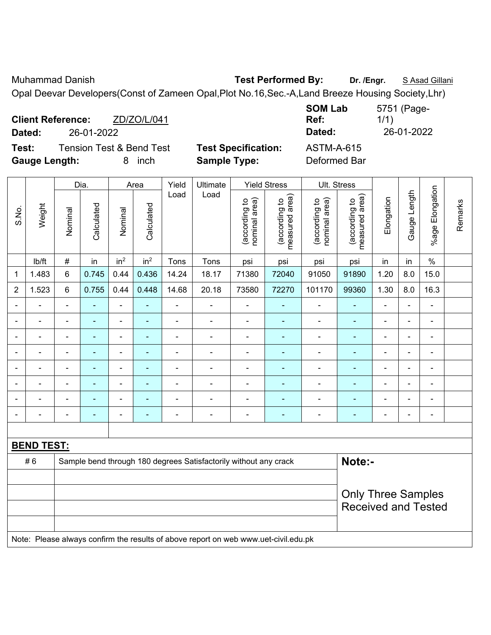Muhammad Danish **Test Performed By:** Dr. /Engr. **S** Asad Gillani

Opal Deevar Developers(Const of Zameen Opal,Plot No.16,Sec.-A,Land Breeze Housing Society,Lhr)

| <b>Client Reference:</b> | ZD/ZO/L/041                         |                            | <b>SOM Lab</b><br><b>Ref:</b> | 5751 (Page-<br>1/1) |
|--------------------------|-------------------------------------|----------------------------|-------------------------------|---------------------|
| Dated:                   | 26-01-2022                          |                            | Dated:                        | 26-01-2022          |
| Test:                    | <b>Tension Test &amp; Bend Test</b> | <b>Test Specification:</b> | <b>ASTM-A-615</b>             |                     |
| <b>Gauge Length:</b>     | <i>inch</i><br>8.                   | <b>Sample Type:</b>        | Deformed Bar                  |                     |

|                |                   |                           | Dia.           |                          | Area            | Yield          | Ultimate                                                                            |                                | <b>Yield Stress</b>             |                                | Ult. Stress                     |                          |                |                          |         |
|----------------|-------------------|---------------------------|----------------|--------------------------|-----------------|----------------|-------------------------------------------------------------------------------------|--------------------------------|---------------------------------|--------------------------------|---------------------------------|--------------------------|----------------|--------------------------|---------|
| S.No.          | Weight            | Nominal                   | Calculated     | Nominal                  | Calculated      | Load           | Load                                                                                | nominal area)<br>(according to | (according to<br>measured area) | nominal area)<br>(according to | measured area)<br>(according to | Elongation               | Gauge Length   | Elongation<br>$%$ age I  | Remarks |
|                | lb/ft             | $\#$                      | in             | in <sup>2</sup>          | in <sup>2</sup> | Tons           | Tons                                                                                | psi                            | psi                             | psi                            | psi                             | in                       | in             | $\%$                     |         |
| 1              | 1.483             | 6                         | 0.745          | 0.44                     | 0.436           | 14.24          | 18.17                                                                               | 71380                          | 72040                           | 91050                          | 91890                           | 1.20                     | 8.0            | 15.0                     |         |
| $\overline{2}$ | 1.523             | 6                         | 0.755          | 0.44                     | 0.448           | 14.68          | 20.18                                                                               | 73580                          | 72270                           | 101170                         | 99360                           | 1.30                     | 8.0            | 16.3                     |         |
| $\blacksquare$ | $\blacksquare$    | $\blacksquare$            | $\blacksquare$ | $\blacksquare$           | $\sim$          | ä,             | $\blacksquare$                                                                      | $\blacksquare$                 | $\blacksquare$                  | $\blacksquare$                 | $\blacksquare$                  | $\blacksquare$           | $\blacksquare$ | $\blacksquare$           |         |
|                | $\blacksquare$    | $\blacksquare$            | $\blacksquare$ | $\overline{\phantom{a}}$ | $\blacksquare$  | $\blacksquare$ | $\blacksquare$                                                                      | $\overline{\phantom{a}}$       | $\blacksquare$                  | $\overline{\phantom{a}}$       | $\blacksquare$                  | $\overline{\phantom{0}}$ | ÷,             | $\overline{\phantom{a}}$ |         |
|                | $\blacksquare$    | $\blacksquare$            | ä,             | $\blacksquare$           | $\blacksquare$  | ä,             | $\blacksquare$                                                                      | $\blacksquare$                 | $\blacksquare$                  | $\blacksquare$                 | $\blacksquare$                  | ä,                       | ä,             | $\blacksquare$           |         |
|                | $\blacksquare$    | $\blacksquare$            | $\blacksquare$ | $\overline{\phantom{a}}$ | ٠               | $\blacksquare$ | $\blacksquare$                                                                      | $\blacksquare$                 | $\blacksquare$                  | $\blacksquare$                 | ÷                               | $\overline{\phantom{0}}$ | $\blacksquare$ | $\blacksquare$           |         |
|                | L,                | $\blacksquare$            | $\blacksquare$ | ä,                       | ٠               | $\blacksquare$ | $\blacksquare$                                                                      | $\blacksquare$                 | $\blacksquare$                  | $\blacksquare$                 | ÷                               | ÷                        | $\blacksquare$ | $\blacksquare$           |         |
|                | $\overline{a}$    |                           |                | ÷                        |                 |                |                                                                                     |                                | $\blacksquare$                  | Ē,                             | ۰                               |                          | $\blacksquare$ | Ē,                       |         |
| $\blacksquare$ | $\overline{a}$    |                           |                | $\blacksquare$           |                 |                | $\blacksquare$                                                                      | $\blacksquare$                 | $\blacksquare$                  | $\blacksquare$                 | $\blacksquare$                  |                          | $\blacksquare$ | $\blacksquare$           |         |
| $\blacksquare$ | $\overline{a}$    | $\blacksquare$            | $\blacksquare$ | $\overline{\phantom{a}}$ | $\blacksquare$  | Ē,             | $\overline{\phantom{a}}$                                                            | $\overline{\phantom{a}}$       | $\blacksquare$                  | $\blacksquare$                 | ۰                               | ÷                        | ÷,             | $\overline{\phantom{a}}$ |         |
|                |                   |                           |                |                          |                 |                |                                                                                     |                                |                                 |                                |                                 |                          |                |                          |         |
|                | <b>BEND TEST:</b> |                           |                |                          |                 |                |                                                                                     |                                |                                 |                                |                                 |                          |                |                          |         |
|                | #6                |                           |                |                          |                 |                | Sample bend through 180 degrees Satisfactorily without any crack                    |                                |                                 |                                | Note:-                          |                          |                |                          |         |
|                |                   |                           |                |                          |                 |                |                                                                                     |                                |                                 |                                |                                 |                          |                |                          |         |
|                |                   | <b>Only Three Samples</b> |                |                          |                 |                |                                                                                     |                                |                                 |                                |                                 |                          |                |                          |         |
|                |                   |                           |                |                          |                 |                |                                                                                     |                                |                                 |                                | <b>Received and Tested</b>      |                          |                |                          |         |
|                |                   |                           |                |                          |                 |                |                                                                                     |                                |                                 |                                |                                 |                          |                |                          |         |
|                |                   |                           |                |                          |                 |                | Note: Please always confirm the results of above report on web www.uet-civil.edu.pk |                                |                                 |                                |                                 |                          |                |                          |         |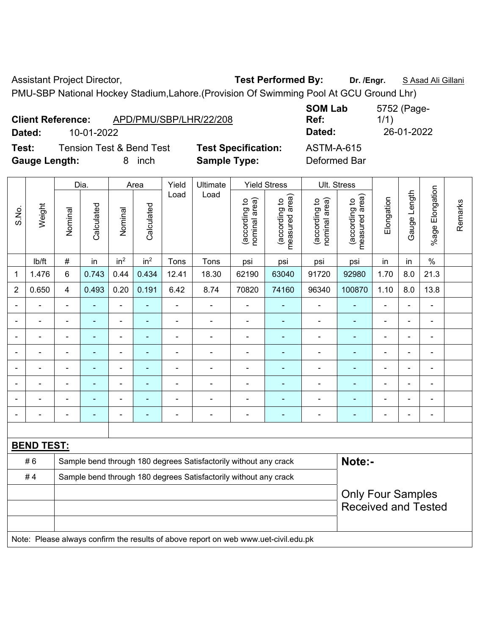Assistant Project Director, **Test Performed By:** Dr. /Engr. **SAsad Ali Gillani** 

PMU-SBP National Hockey Stadium,Lahore.(Provision Of Swimming Pool At GCU Ground Lhr)

|                      | <b>Client Reference:</b> | APD/PMU/SBP/LHR/22/208              |                            | <b>SOM LAD</b><br>Ref: |
|----------------------|--------------------------|-------------------------------------|----------------------------|------------------------|
| Dated:               | 10-01-2022               |                                     |                            | Dated:                 |
| Test:                |                          | <b>Tension Test &amp; Bend Test</b> | <b>Test Specification:</b> | <b>ASTM-A-615</b>      |
| <b>Gauge Length:</b> |                          | inch                                | <b>Sample Type:</b>        | Deformed Bar           |

**SOM Lab Ref:**  5752 (Page-1/1) **Dated:** 10-01-2022 **Dated:** 26-01-2022 **Cation:** ASTM-A-615

|                |                          |                | Dia.           |                 | Area            | Yield          | Ultimate                                                                            |                                | <b>Yield Stress</b>             |                                | Ult. Stress                                            |                |              |                           |         |  |
|----------------|--------------------------|----------------|----------------|-----------------|-----------------|----------------|-------------------------------------------------------------------------------------|--------------------------------|---------------------------------|--------------------------------|--------------------------------------------------------|----------------|--------------|---------------------------|---------|--|
| S.No.          | Weight                   | Nominal        | Calculated     | Nominal         | Calculated      | Load           | Load                                                                                | (according to<br>nominal area) | (according to<br>measured area) | (according to<br>nominal area) | measured area)<br>(according to                        | Elongation     | Gauge Length | Elongation<br>$%$ age $ $ | Remarks |  |
|                | lb/ft                    | #              | in             | in <sup>2</sup> | in <sup>2</sup> | Tons           | Tons                                                                                | psi                            | psi                             | psi                            | psi                                                    | in             | in           | $\%$                      |         |  |
| 1              | 1.476                    | 6              | 0.743          | 0.44            | 0.434           | 12.41          | 18.30                                                                               | 62190                          | 63040                           | 91720                          | 92980                                                  | 1.70           | 8.0          | 21.3                      |         |  |
| $\overline{2}$ | 0.650                    | $\overline{4}$ | 0.493          | 0.20            | 0.191           | 6.42           | 8.74                                                                                | 70820                          | 74160                           | 96340                          | 100870                                                 | 1.10           | 8.0          | 13.8                      |         |  |
| $\blacksquare$ |                          | ä,             | L,             | ä,              |                 | $\blacksquare$ | $\blacksquare$                                                                      | $\blacksquare$                 |                                 | $\blacksquare$                 | $\blacksquare$                                         |                |              | $\blacksquare$            |         |  |
|                |                          |                |                |                 |                 |                |                                                                                     | $\blacksquare$                 |                                 | $\blacksquare$                 | $\blacksquare$                                         |                |              | $\blacksquare$            |         |  |
|                |                          |                |                | $\overline{a}$  |                 |                |                                                                                     |                                |                                 |                                | ۰                                                      |                |              | $\blacksquare$            |         |  |
| $\blacksquare$ |                          | ä,             |                | ÷               |                 |                | $\blacksquare$                                                                      | L,                             |                                 | ÷                              | ÷                                                      | ÷              | Ē,           | $\blacksquare$            |         |  |
| $\blacksquare$ | $\blacksquare$           | $\blacksquare$ | $\blacksquare$ | ÷               | $\blacksquare$  | $\blacksquare$ | $\blacksquare$                                                                      | $\blacksquare$                 | $\blacksquare$                  | $\blacksquare$                 | ÷                                                      | $\blacksquare$ | ÷            | $\blacksquare$            |         |  |
| $\blacksquare$ | $\overline{\phantom{0}}$ |                | ÷              | ÷               |                 | $\blacksquare$ | $\blacksquare$                                                                      | $\blacksquare$                 | $\blacksquare$                  | $\blacksquare$                 | ÷                                                      |                |              | $\blacksquare$            |         |  |
|                |                          |                |                |                 |                 |                |                                                                                     |                                |                                 |                                | ÷                                                      |                |              | $\blacksquare$            |         |  |
|                |                          | ä,             |                | ÷               |                 | Ē,             | $\blacksquare$                                                                      | Ē,                             |                                 |                                | ä,                                                     | ÷              |              | $\blacksquare$            |         |  |
|                |                          |                |                |                 |                 |                |                                                                                     |                                |                                 |                                |                                                        |                |              |                           |         |  |
|                | <b>BEND TEST:</b>        |                |                |                 |                 |                |                                                                                     |                                |                                 |                                |                                                        |                |              |                           |         |  |
|                | #6                       |                |                |                 |                 |                | Sample bend through 180 degrees Satisfactorily without any crack                    |                                |                                 |                                | Note:-                                                 |                |              |                           |         |  |
|                | #4                       |                |                |                 |                 |                | Sample bend through 180 degrees Satisfactorily without any crack                    |                                |                                 |                                |                                                        |                |              |                           |         |  |
|                |                          |                |                |                 |                 |                |                                                                                     |                                |                                 |                                | <b>Only Four Samples</b><br><b>Received and Tested</b> |                |              |                           |         |  |
|                |                          |                |                |                 |                 |                | Note: Please always confirm the results of above report on web www.uet-civil.edu.pk |                                |                                 |                                |                                                        |                |              |                           |         |  |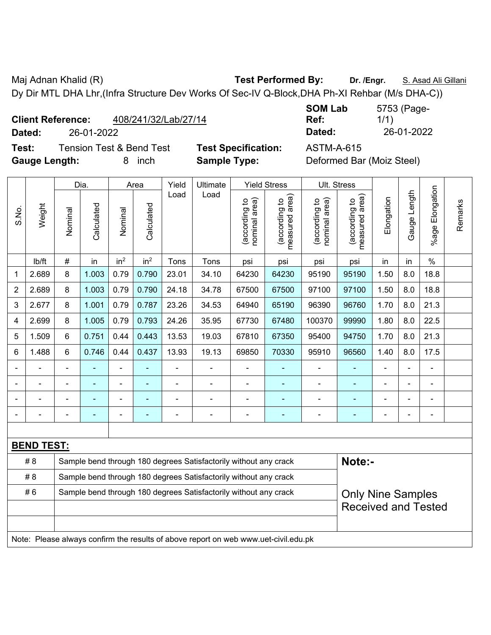Maj Adnan Khalid (R) **Test Performed By:** Dr. /Engr. **S. Asad Ali Gillani** Ali Gillani

Dy Dir MTL DHA Lhr,(Infra Structure Dev Works Of Sec-IV Q-Block,DHA Ph-XI Rehbar (M/s DHA-C))

| <b>Client Reference:</b> | 408/241/32/Lab/27/14 |
|--------------------------|----------------------|
|                          |                      |

**Test:** Tension Test & Bend Test **Test Specification:** ASTM-A-615

**SOM Lab Ref:**  5753 (Page-1/1) **Dated:** 26-01-2022 **Dated:** 26-01-2022

**Gauge Length:** 8 inch **Sample Type:** Deformed Bar (Moiz Steel) Dia. | Area | Yield | Ultimate | Yield Stress | Ult. Stress ongation %age Elongation Length Gauge Length Load Load measured area) measured area) ng to<br>I area) ng to<br>I area) ation Elongation nominal area) nominal area) ng to<br>area) (according to (according to ng to<br>area) (according to (according to

| S.No.          | Weight            | Nominal                    | Calculated     | Nominal         | Calculated      |                          |                                                                                     | nominal area)<br>(according to | measured area<br>(according to | nominal area)<br>(according to | (according to<br>measured area<br>measured | Elongation     | Gauge Leng               | %age Elongat             | Remarks |
|----------------|-------------------|----------------------------|----------------|-----------------|-----------------|--------------------------|-------------------------------------------------------------------------------------|--------------------------------|--------------------------------|--------------------------------|--------------------------------------------|----------------|--------------------------|--------------------------|---------|
|                | lb/ft             | $\#$                       | in             | in <sup>2</sup> | in <sup>2</sup> | Tons                     | Tons                                                                                | psi                            | psi                            | psi                            | psi                                        | in             | in                       | $\%$                     |         |
| 1              | 2.689             | 8                          | 1.003          | 0.79            | 0.790           | 23.01                    | 34.10                                                                               | 64230                          | 64230                          | 95190                          | 95190                                      | 1.50           | 8.0                      | 18.8                     |         |
| $\overline{2}$ | 2.689             | 8                          | 1.003          | 0.79            | 0.790           | 24.18                    | 34.78                                                                               | 67500                          | 67500                          | 97100                          | 97100                                      | 1.50           | 8.0                      | 18.8                     |         |
| 3              | 2.677             | 8                          | 1.001          | 0.79            | 0.787           | 23.26                    | 34.53                                                                               | 64940                          | 65190                          | 96390                          | 96760                                      | 1.70           | 8.0                      | 21.3                     |         |
| 4              | 2.699             | 8                          | 1.005          | 0.79            | 0.793           | 24.26                    | 35.95                                                                               | 67730                          | 67480                          | 100370                         | 99990                                      | 1.80           | 8.0                      | 22.5                     |         |
| 5              | 1.509             | 6                          | 0.751          | 0.44            | 0.443           | 13.53                    | 19.03                                                                               | 67810                          | 67350                          | 95400                          | 94750                                      | 1.70           | 8.0                      | 21.3                     |         |
| 6              | 1.488             | 6                          | 0.746          | 0.44            | 0.437           | 13.93                    | 19.13                                                                               | 69850                          | 70330                          | 95910                          | 96560                                      | 1.40           | 8.0                      | 17.5                     |         |
|                |                   | $\blacksquare$             |                | $\blacksquare$  | $\blacksquare$  | $\blacksquare$           | ÷                                                                                   | $\overline{\phantom{a}}$       | $\overline{\phantom{0}}$       | $\blacksquare$                 | $\blacksquare$                             | $\blacksquare$ | $\blacksquare$           | $\blacksquare$           |         |
|                |                   |                            | $\equiv$       | $\blacksquare$  | $\blacksquare$  |                          |                                                                                     | $\equiv$                       | $\overline{\phantom{0}}$       |                                | $\blacksquare$                             | ÷.             | $\blacksquare$           |                          |         |
|                |                   | $\overline{\phantom{0}}$   |                | -               | ۰               |                          |                                                                                     | -                              | $\overline{\phantom{0}}$       |                                | $\blacksquare$                             | ÷              | $\overline{\phantom{a}}$ | $\overline{\phantom{a}}$ |         |
|                |                   | $\blacksquare$             | $\blacksquare$ | $\blacksquare$  | $\blacksquare$  | $\overline{\phantom{a}}$ | $\overline{\phantom{0}}$                                                            | $\blacksquare$                 | $\overline{\phantom{0}}$       | $\blacksquare$                 | $\blacksquare$                             | ÷,             | $\blacksquare$           | $\blacksquare$           |         |
|                |                   |                            |                |                 |                 |                          |                                                                                     |                                |                                |                                |                                            |                |                          |                          |         |
|                | <b>BEND TEST:</b> |                            |                |                 |                 |                          |                                                                                     |                                |                                |                                |                                            |                |                          |                          |         |
|                | # 8               |                            |                |                 |                 |                          | Sample bend through 180 degrees Satisfactorily without any crack                    |                                |                                |                                | Note:-                                     |                |                          |                          |         |
|                | # 8               |                            |                |                 |                 |                          | Sample bend through 180 degrees Satisfactorily without any crack                    |                                |                                |                                |                                            |                |                          |                          |         |
|                | #6                |                            |                |                 |                 |                          | Sample bend through 180 degrees Satisfactorily without any crack                    |                                |                                |                                | <b>Only Nine Samples</b>                   |                |                          |                          |         |
|                |                   | <b>Received and Tested</b> |                |                 |                 |                          |                                                                                     |                                |                                |                                |                                            |                |                          |                          |         |
|                |                   |                            |                |                 |                 |                          |                                                                                     |                                |                                |                                |                                            |                |                          |                          |         |
|                |                   |                            |                |                 |                 |                          | Note: Please always confirm the results of above report on web www.uet-civil.edu.pk |                                |                                |                                |                                            |                |                          |                          |         |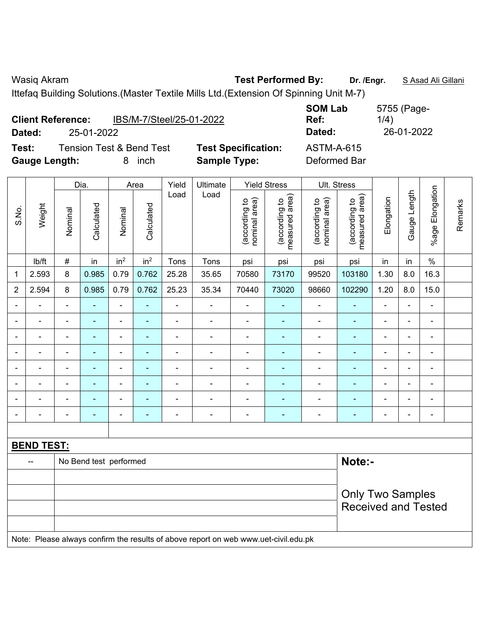**Dated:** 25-01-2022 **Dated:** 26-01-2022

| <b>Client Reference:</b> |            | IBS/M-7/Steel/25-01-2022            |                            | <b>SOM Lab</b><br>Ref: | 5755 (Page-<br>1/4) |
|--------------------------|------------|-------------------------------------|----------------------------|------------------------|---------------------|
| Dated:                   | 25-01-2022 |                                     |                            | Dated:                 | 26-01-2022          |
| Test:                    |            | <b>Tension Test &amp; Bend Test</b> | <b>Test Specification:</b> | <b>ASTM-A-615</b>      |                     |
| <b>Gauge Length:</b>     |            | inch                                | <b>Sample Type:</b>        | Deformed Bar           |                     |

|                |                   |                | Dia.                   |                 | Area            | Yield          | Ultimate                                                                            |                                | <b>Yield Stress</b>             |                                | Ult. Stress                     |                |                |                          |         |
|----------------|-------------------|----------------|------------------------|-----------------|-----------------|----------------|-------------------------------------------------------------------------------------|--------------------------------|---------------------------------|--------------------------------|---------------------------------|----------------|----------------|--------------------------|---------|
| S.No.          | Weight            | Nominal        | Calculated             | Nominal         | Calculated      | Load           | Load                                                                                | nominal area)<br>(according to | (according to<br>measured area) | (according to<br>nominal area) | (according to<br>measured area) | Elongation     | Gauge Length   | %age Elongation          | Remarks |
|                | Ib/ft             | $\#$           | in                     | in <sup>2</sup> | in <sup>2</sup> | Tons           | Tons                                                                                | psi                            | psi                             | psi                            | psi                             | in             | in             | $\%$                     |         |
| 1              | 2.593             | 8              | 0.985                  | 0.79            | 0.762           | 25.28          | 35.65                                                                               | 70580                          | 73170                           | 99520                          | 103180                          | 1.30           | 8.0            | 16.3                     |         |
| $\overline{2}$ | 2.594             | 8              | 0.985                  | 0.79            | 0.762           | 25.23          | 35.34                                                                               | 70440                          | 73020                           | 98660                          | 102290                          | 1.20           | 8.0            | 15.0                     |         |
| $\blacksquare$ | $\blacksquare$    | $\blacksquare$ | ÷,                     | $\blacksquare$  | $\blacksquare$  | $\blacksquare$ | $\blacksquare$                                                                      | $\blacksquare$                 | $\blacksquare$                  | $\blacksquare$                 | ÷,                              | $\blacksquare$ | L,             | $\blacksquare$           |         |
|                | $\blacksquare$    | $\blacksquare$ | ÷,                     | ÷,              | $\blacksquare$  | $\blacksquare$ | $\blacksquare$                                                                      | $\blacksquare$                 | $\blacksquare$                  | $\blacksquare$                 | $\blacksquare$                  | ÷.             | $\blacksquare$ | $\blacksquare$           |         |
|                |                   |                | $\equiv$               | $\blacksquare$  |                 |                | $\blacksquare$                                                                      | $\blacksquare$                 | $\blacksquare$                  | $\blacksquare$                 | $\blacksquare$                  |                |                | $\blacksquare$           |         |
|                |                   |                |                        | ÷               |                 |                |                                                                                     |                                |                                 |                                |                                 |                | ٠              | $\blacksquare$           |         |
|                |                   | $\blacksquare$ | Ē.                     | ÷,              |                 | $\blacksquare$ | $\blacksquare$                                                                      | $\blacksquare$                 | $\blacksquare$                  | $\blacksquare$                 | $\blacksquare$                  | $\blacksquare$ | $\blacksquare$ | $\blacksquare$           |         |
| $\blacksquare$ | $\blacksquare$    | $\blacksquare$ | ÷,                     | $\blacksquare$  | $\blacksquare$  | $\blacksquare$ | $\blacksquare$                                                                      | $\blacksquare$                 | ä,                              | ÷                              | $\blacksquare$                  | $\blacksquare$ | $\blacksquare$ | $\blacksquare$           |         |
|                | -                 | $\blacksquare$ | ۰                      | $\blacksquare$  |                 | $\blacksquare$ | $\blacksquare$                                                                      | $\blacksquare$                 | $\overline{\phantom{a}}$        | $\overline{\phantom{0}}$       | $\blacksquare$                  | $\blacksquare$ | $\blacksquare$ | $\overline{\phantom{a}}$ |         |
|                | $\blacksquare$    | $\blacksquare$ | L,                     | ÷,              | $\blacksquare$  | $\blacksquare$ | $\overline{\phantom{a}}$                                                            | $\blacksquare$                 | $\blacksquare$                  | ÷,                             | $\blacksquare$                  | $\blacksquare$ | $\blacksquare$ | $\blacksquare$           |         |
|                |                   |                |                        |                 |                 |                |                                                                                     |                                |                                 |                                |                                 |                |                |                          |         |
|                | <b>BEND TEST:</b> |                |                        |                 |                 |                |                                                                                     |                                |                                 |                                |                                 |                |                |                          |         |
|                |                   |                | No Bend test performed |                 |                 |                |                                                                                     |                                |                                 |                                | Note:-                          |                |                |                          |         |
|                |                   |                |                        |                 |                 |                |                                                                                     |                                |                                 |                                |                                 |                |                |                          |         |
|                |                   |                |                        |                 |                 |                |                                                                                     |                                |                                 |                                | <b>Only Two Samples</b>         |                |                |                          |         |
|                |                   |                |                        |                 |                 |                |                                                                                     |                                |                                 |                                | <b>Received and Tested</b>      |                |                |                          |         |
|                |                   |                |                        |                 |                 |                | Note: Please always confirm the results of above report on web www.uet-civil.edu.pk |                                |                                 |                                |                                 |                |                |                          |         |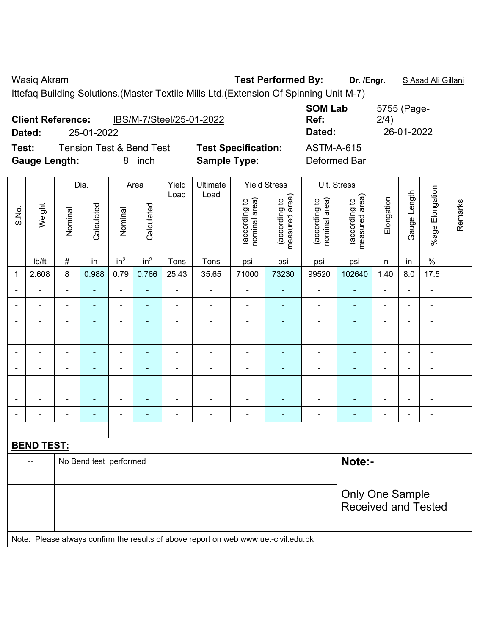|                      | <b>Client Reference:</b> | IBS/M-7/Steel/25-01-2022            |                            | <b>SOM Lab</b><br>Ref: | 5755 (Page-<br>2/4) |
|----------------------|--------------------------|-------------------------------------|----------------------------|------------------------|---------------------|
| Dated:               | 25-01-2022               |                                     |                            | Dated:                 | 26-01-2022          |
| Test:                |                          | <b>Tension Test &amp; Bend Test</b> | <b>Test Specification:</b> | <b>ASTM-A-615</b>      |                     |
| <b>Gauge Length:</b> |                          | inch                                | <b>Sample Type:</b>        | Deformed Bar           |                     |

|                |                   |                | Dia.                   |                 | Area            | Yield                    | Ultimate                                                                            |                                | <b>Yield Stress</b>             |                                | Ult. Stress                     |                          |                          |                 |         |
|----------------|-------------------|----------------|------------------------|-----------------|-----------------|--------------------------|-------------------------------------------------------------------------------------|--------------------------------|---------------------------------|--------------------------------|---------------------------------|--------------------------|--------------------------|-----------------|---------|
| S.No.          | Weight            | Nominal        | Calculated             | Nominal         | Calculated      | Load                     | Load                                                                                | nominal area)<br>(according to | (according to<br>measured area) | nominal area)<br>(according to | measured area)<br>(according to | Elongation               | Gauge Length             | %age Elongation | Remarks |
|                | Ib/ft             | $\#$           | in                     | in <sup>2</sup> | in <sup>2</sup> | Tons                     | Tons                                                                                | psi                            | psi                             | psi                            | psi                             | in                       | in                       | $\%$            |         |
| 1              | 2.608             | 8              | 0.988                  | 0.79            | 0.766           | 25.43                    | 35.65                                                                               | 71000                          | 73230                           | 99520                          | 102640                          | 1.40                     | 8.0                      | 17.5            |         |
| $\blacksquare$ | $\overline{a}$    | $\blacksquare$ | $\blacksquare$         | $\blacksquare$  | $\blacksquare$  | $\overline{\phantom{a}}$ | $\blacksquare$                                                                      | $\overline{\phantom{a}}$       | $\blacksquare$                  | $\blacksquare$                 | $\blacksquare$                  | ä,                       | ä,                       | $\blacksquare$  |         |
| $\blacksquare$ | $\blacksquare$    | $\blacksquare$ | ÷,                     | $\blacksquare$  | $\blacksquare$  | $\blacksquare$           | $\blacksquare$                                                                      | $\overline{\phantom{a}}$       | $\blacksquare$                  | $\overline{\phantom{0}}$       | ä,                              | $\overline{\phantom{a}}$ | $\blacksquare$           | $\blacksquare$  |         |
| $\blacksquare$ | $\blacksquare$    | $\blacksquare$ | $\blacksquare$         | $\blacksquare$  |                 | $\blacksquare$           | $\blacksquare$                                                                      | $\overline{a}$                 | $\blacksquare$                  | ÷                              | $\blacksquare$                  | $\blacksquare$           | $\frac{1}{2}$            | $\blacksquare$  |         |
| $\blacksquare$ | $\blacksquare$    | $\blacksquare$ | $\blacksquare$         | $\blacksquare$  | $\blacksquare$  | $\blacksquare$           | $\frac{1}{2}$                                                                       | $\blacksquare$                 | $\blacksquare$                  | $\qquad \qquad \blacksquare$   | $\blacksquare$                  | $\blacksquare$           | $\blacksquare$           | $\blacksquare$  |         |
| $\blacksquare$ | $\blacksquare$    | $\blacksquare$ | $\blacksquare$         | ÷,              | $\blacksquare$  | $\blacksquare$           | ä,                                                                                  | $\blacksquare$                 | ä,                              | $\blacksquare$                 | $\blacksquare$                  | ÷                        | ÷.                       | $\blacksquare$  |         |
|                |                   |                | $\blacksquare$         | $\blacksquare$  | $\blacksquare$  | $\blacksquare$           | $\blacksquare$                                                                      | $\blacksquare$                 | $\blacksquare$                  | $\overline{\phantom{0}}$       | $\blacksquare$                  | $\blacksquare$           | $\blacksquare$           | $\blacksquare$  |         |
|                | ä,                | $\blacksquare$ |                        | ä,              |                 | L,                       | ä,                                                                                  | $\blacksquare$                 |                                 | L.                             |                                 | Ē.                       | $\blacksquare$           | $\blacksquare$  |         |
| $\blacksquare$ | -                 | $\blacksquare$ | ٠                      | $\blacksquare$  |                 | $\blacksquare$           | $\blacksquare$                                                                      | $\blacksquare$                 | $\overline{\phantom{0}}$        | $\overline{\phantom{0}}$       | $\blacksquare$                  | $\blacksquare$           | $\overline{\phantom{0}}$ | $\blacksquare$  |         |
| $\blacksquare$ | $\blacksquare$    | $\blacksquare$ | ä,                     | ÷,              | $\blacksquare$  | $\blacksquare$           | $\blacksquare$                                                                      | $\overline{\phantom{a}}$       | $\blacksquare$                  | $\overline{\phantom{a}}$       | ä,                              | $\blacksquare$           | $\blacksquare$           | $\blacksquare$  |         |
|                |                   |                |                        |                 |                 |                          |                                                                                     |                                |                                 |                                |                                 |                          |                          |                 |         |
|                | <b>BEND TEST:</b> |                |                        |                 |                 |                          |                                                                                     |                                |                                 |                                |                                 |                          |                          |                 |         |
|                | --                |                | No Bend test performed |                 |                 |                          |                                                                                     |                                |                                 |                                | Note:-                          |                          |                          |                 |         |
|                |                   |                |                        |                 |                 |                          |                                                                                     |                                |                                 |                                |                                 |                          |                          |                 |         |
|                |                   |                |                        |                 |                 |                          |                                                                                     |                                |                                 |                                | <b>Only One Sample</b>          |                          |                          |                 |         |
|                |                   |                |                        |                 |                 |                          |                                                                                     |                                |                                 |                                | <b>Received and Tested</b>      |                          |                          |                 |         |
|                |                   |                |                        |                 |                 |                          |                                                                                     |                                |                                 |                                |                                 |                          |                          |                 |         |
|                |                   |                |                        |                 |                 |                          | Note: Please always confirm the results of above report on web www.uet-civil.edu.pk |                                |                                 |                                |                                 |                          |                          |                 |         |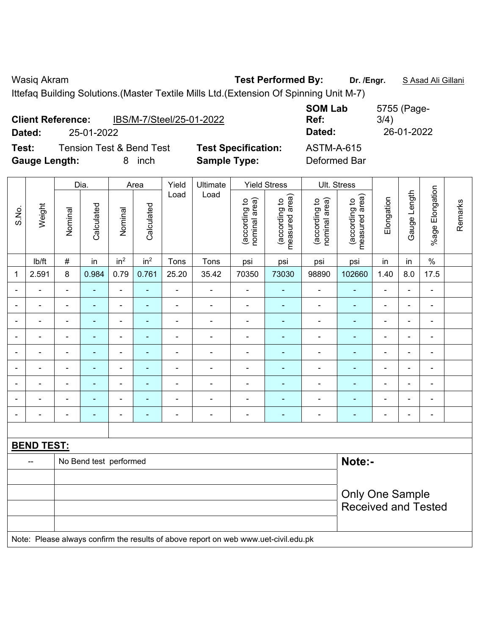| Dated:               | <b>Client Reference:</b><br>25-01-2022 | IBS/M-7/Steel/25-01-2022            |                            | <b>SOM Lab</b><br>Ref:<br>Dated: | 5755 (Page-<br>3/4)<br>26-01-2022 |
|----------------------|----------------------------------------|-------------------------------------|----------------------------|----------------------------------|-----------------------------------|
| Test:                |                                        | <b>Tension Test &amp; Bend Test</b> | <b>Test Specification:</b> | <b>ASTM-A-615</b>                |                                   |
| <b>Gauge Length:</b> |                                        | inch                                | <b>Sample Type:</b>        | Deformed Bar                     |                                   |

|                          |                   |                                  | Dia.                     |                          | Area            | Yield          | Ultimate                                                                            |                                | <b>Yield Stress</b>             |                                | Ult. Stress                     |                          |                          |                              |         |
|--------------------------|-------------------|----------------------------------|--------------------------|--------------------------|-----------------|----------------|-------------------------------------------------------------------------------------|--------------------------------|---------------------------------|--------------------------------|---------------------------------|--------------------------|--------------------------|------------------------------|---------|
| S.No.                    | Weight            | Nominal                          | Calculated               | Nominal                  | Calculated      | Load           | Load                                                                                | (according to<br>nominal area) | (according to<br>measured area) | (according to<br>nominal area) | measured area)<br>(according to | Elongation               | Gauge Length             | %age Elongation              | Remarks |
|                          | lb/ft             | $\#$                             | in                       | in <sup>2</sup>          | in <sup>2</sup> | Tons           | Tons                                                                                | psi                            | psi                             | psi                            | psi                             | in                       | in                       | $\%$                         |         |
| 1                        | 2.591             | $\,8\,$                          | 0.984                    | 0.79                     | 0.761           | 25.20          | 35.42                                                                               | 70350                          | 73030                           | 98890                          | 102660                          | 1.40                     | 8.0                      | 17.5                         |         |
| $\blacksquare$           | $\blacksquare$    | $\blacksquare$                   | $\blacksquare$           | $\blacksquare$           | ÷               | $\blacksquare$ | $\blacksquare$                                                                      | $\overline{\phantom{a}}$       | $\blacksquare$                  | $\overline{\phantom{a}}$       | $\blacksquare$                  | $\overline{\phantom{a}}$ | $\blacksquare$           | $\frac{1}{2}$                |         |
| $\blacksquare$           | ä,                | $\blacksquare$                   | $\blacksquare$           | $\blacksquare$           | $\blacksquare$  | ÷,             | $\blacksquare$                                                                      | $\blacksquare$                 | $\blacksquare$                  | $\overline{\phantom{a}}$       | $\blacksquare$                  | ÷,                       | ÷,                       | $\blacksquare$               |         |
|                          | ÷                 | $\blacksquare$                   | $\blacksquare$           | $\blacksquare$           | ٠               | $\blacksquare$ | $\blacksquare$                                                                      | $\blacksquare$                 | $\blacksquare$                  | ÷                              | ÷,                              | $\blacksquare$           | $\blacksquare$           | $\frac{1}{2}$                |         |
|                          | $\blacksquare$    | $\blacksquare$                   | $\blacksquare$           | $\blacksquare$           | $\blacksquare$  | $\blacksquare$ | $\overline{\phantom{a}}$                                                            | $\blacksquare$                 | $\blacksquare$                  | ۰                              | $\blacksquare$                  | $\blacksquare$           | $\overline{a}$           | $\frac{1}{2}$                |         |
|                          | L.                | $\blacksquare$                   | $\blacksquare$           | ä,                       | ٠               | $\blacksquare$ | ÷                                                                                   | $\blacksquare$                 | ä,                              | ä,                             | $\blacksquare$                  |                          | $\blacksquare$           | $\blacksquare$               |         |
|                          |                   |                                  | $\blacksquare$           | $\blacksquare$           |                 | $\blacksquare$ | $\overline{\phantom{0}}$                                                            | $\blacksquare$                 | $\overline{a}$                  | ۰                              | ٠                               |                          | $\overline{\phantom{0}}$ | ۰                            |         |
|                          | $\blacksquare$    |                                  | $\blacksquare$           | $\overline{\phantom{a}}$ | ٠               | $\blacksquare$ | $\blacksquare$                                                                      | $\blacksquare$                 | $\blacksquare$                  | $\blacksquare$                 | $\blacksquare$                  | $\blacksquare$           | $\overline{a}$           | $\blacksquare$               |         |
| $\overline{\phantom{0}}$ | ÷                 |                                  |                          | $\blacksquare$           |                 |                | ÷                                                                                   | $\blacksquare$                 | $\overline{a}$                  | ÷                              | $\blacksquare$                  | $\blacksquare$           | $\overline{a}$           | $\overline{\phantom{a}}$     |         |
| $\blacksquare$           | $\blacksquare$    | $\blacksquare$                   | $\overline{\phantom{a}}$ | $\overline{\phantom{a}}$ | $\blacksquare$  | $\blacksquare$ | $\blacksquare$                                                                      | $\blacksquare$                 | $\blacksquare$                  | $\qquad \qquad \blacksquare$   | $\blacksquare$                  | $\blacksquare$           | $\blacksquare$           | $\qquad \qquad \blacksquare$ |         |
|                          |                   |                                  |                          |                          |                 |                |                                                                                     |                                |                                 |                                |                                 |                          |                          |                              |         |
|                          | <b>BEND TEST:</b> |                                  |                          |                          |                 |                |                                                                                     |                                |                                 |                                |                                 |                          |                          |                              |         |
|                          |                   | Note:-<br>No Bend test performed |                          |                          |                 |                |                                                                                     |                                |                                 |                                |                                 |                          |                          |                              |         |
|                          |                   |                                  |                          |                          |                 |                |                                                                                     |                                |                                 |                                |                                 |                          |                          |                              |         |
|                          |                   |                                  |                          |                          |                 |                |                                                                                     |                                |                                 |                                | <b>Only One Sample</b>          |                          |                          |                              |         |
|                          |                   |                                  |                          |                          |                 |                |                                                                                     |                                |                                 |                                | <b>Received and Tested</b>      |                          |                          |                              |         |
|                          |                   |                                  |                          |                          |                 |                | Note: Please always confirm the results of above report on web www.uet-civil.edu.pk |                                |                                 |                                |                                 |                          |                          |                              |         |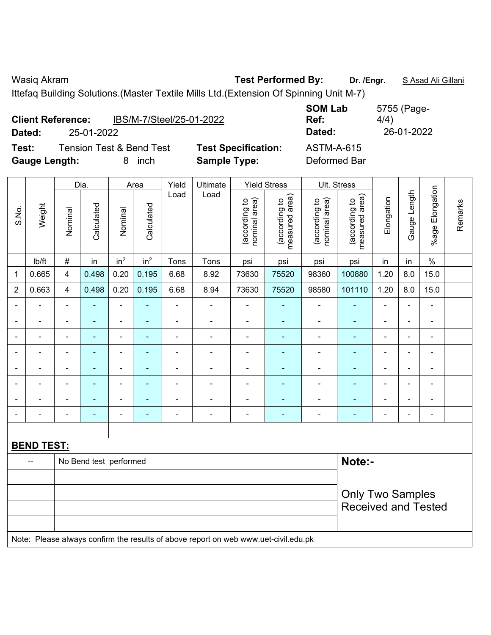5755 (Page-

**Dated:** 25-01-2022 **Dated:** 26-01-2022

4/4)

|                      | <b>Client Reference:</b> | IBS/M-7/Steel/25-01-2022            |                            | <b>SOM Lab</b><br>Ref: |
|----------------------|--------------------------|-------------------------------------|----------------------------|------------------------|
| Dated:               | 25-01-2022               |                                     |                            | Dated:                 |
| Test:                |                          | <b>Tension Test &amp; Bend Test</b> | <b>Test Specification:</b> | <b>ASTM-A-615</b>      |
| <b>Gauge Length:</b> |                          | inch                                | <b>Sample Type:</b>        | Deformed Bar           |

|                          |                   |                | Dia.                     |                 | Area                     | Yield                    | Ultimate                                                                            |                                | <b>Yield Stress</b>             |                                | Ult. Stress                     |                |                          |                          |         |
|--------------------------|-------------------|----------------|--------------------------|-----------------|--------------------------|--------------------------|-------------------------------------------------------------------------------------|--------------------------------|---------------------------------|--------------------------------|---------------------------------|----------------|--------------------------|--------------------------|---------|
| S.No.                    | Weight            | Nominal        | Calculated               | Nominal         | Calculated               | Load                     | Load                                                                                | nominal area)<br>(according to | (according to<br>measured area) | nominal area)<br>(according to | (according to<br>measured area) | Elongation     | Gauge Length             | %age Elongation          | Remarks |
|                          | Ib/ft             | $\#$           | in                       | in <sup>2</sup> | in <sup>2</sup>          | Tons                     | Tons                                                                                | psi                            | psi                             | psi                            | psi                             | in             | in                       | $\%$                     |         |
| $\mathbf 1$              | 0.665             | $\overline{4}$ | 0.498                    | 0.20            | 0.195                    | 6.68                     | 8.92                                                                                | 73630                          | 75520                           | 98360                          | 100880                          | 1.20           | 8.0                      | 15.0                     |         |
| $\overline{2}$           | 0.663             | 4              | 0.498                    | 0.20            | 0.195                    | 6.68                     | 8.94                                                                                | 73630                          | 75520                           | 98580                          | 101110                          | 1.20           | 8.0                      | 15.0                     |         |
| $\overline{\phantom{a}}$ | $\blacksquare$    | $\blacksquare$ | ÷,                       | $\blacksquare$  | $\blacksquare$           | $\blacksquare$           | $\blacksquare$                                                                      | $\blacksquare$                 | $\blacksquare$                  | $\blacksquare$                 | ÷,                              | $\blacksquare$ | $\overline{\phantom{0}}$ | $\blacksquare$           |         |
|                          | ä,                | $\blacksquare$ | ÷,                       | $\blacksquare$  | $\blacksquare$           | $\blacksquare$           | $\blacksquare$                                                                      | $\blacksquare$                 | ÷                               | ÷,                             | ÷,                              | $\blacksquare$ | ÷,                       | $\blacksquare$           |         |
|                          |                   |                | $\overline{\phantom{0}}$ | $\blacksquare$  |                          | $\overline{\phantom{a}}$ | $\blacksquare$                                                                      | $\blacksquare$                 | $\blacksquare$                  | $\blacksquare$                 | $\blacksquare$                  |                | $\blacksquare$           | $\overline{\phantom{0}}$ |         |
|                          |                   |                |                          | $\blacksquare$  |                          |                          |                                                                                     | $\overline{\phantom{0}}$       |                                 | $\blacksquare$                 |                                 |                | $\blacksquare$           | $\blacksquare$           |         |
|                          | $\blacksquare$    |                | $\blacksquare$           | $\blacksquare$  |                          | $\blacksquare$           | $\blacksquare$                                                                      | $\blacksquare$                 | ٠                               | $\blacksquare$                 | $\overline{\phantom{0}}$        | $\blacksquare$ | $\overline{a}$           | $\blacksquare$           |         |
| $\blacksquare$           | ä,                | $\blacksquare$ | $\blacksquare$           | $\blacksquare$  | $\blacksquare$           | $\blacksquare$           | $\blacksquare$                                                                      | $\blacksquare$                 | $\blacksquare$                  | $\blacksquare$                 | $\blacksquare$                  | $\blacksquare$ | $\blacksquare$           | $\blacksquare$           |         |
|                          | $\blacksquare$    | $\blacksquare$ | $\blacksquare$           | $\blacksquare$  | $\overline{\phantom{a}}$ | Ē,                       | $\blacksquare$                                                                      | $\overline{\phantom{0}}$       | $\blacksquare$                  | $\overline{\phantom{0}}$       | $\blacksquare$                  | $\blacksquare$ | $\overline{a}$           | $\overline{\phantom{a}}$ |         |
| $\overline{\phantom{0}}$ | Ē,                |                | ÷,                       | $\blacksquare$  | $\blacksquare$           | $\blacksquare$           | $\blacksquare$                                                                      | $\blacksquare$                 | $\blacksquare$                  | $\blacksquare$                 | ÷                               | $\blacksquare$ | ÷                        | $\blacksquare$           |         |
|                          |                   |                |                          |                 |                          |                          |                                                                                     |                                |                                 |                                |                                 |                |                          |                          |         |
|                          | <b>BEND TEST:</b> |                |                          |                 |                          |                          |                                                                                     |                                |                                 |                                |                                 |                |                          |                          |         |
|                          |                   |                | No Bend test performed   |                 |                          |                          |                                                                                     |                                |                                 |                                | Note:-                          |                |                          |                          |         |
|                          |                   |                |                          |                 |                          |                          |                                                                                     |                                |                                 |                                |                                 |                |                          |                          |         |
|                          |                   |                |                          |                 |                          |                          |                                                                                     |                                |                                 |                                | <b>Only Two Samples</b>         |                |                          |                          |         |
|                          |                   |                |                          |                 |                          |                          |                                                                                     |                                |                                 |                                | <b>Received and Tested</b>      |                |                          |                          |         |
|                          |                   |                |                          |                 |                          |                          | Note: Please always confirm the results of above report on web www.uet-civil.edu.pk |                                |                                 |                                |                                 |                |                          |                          |         |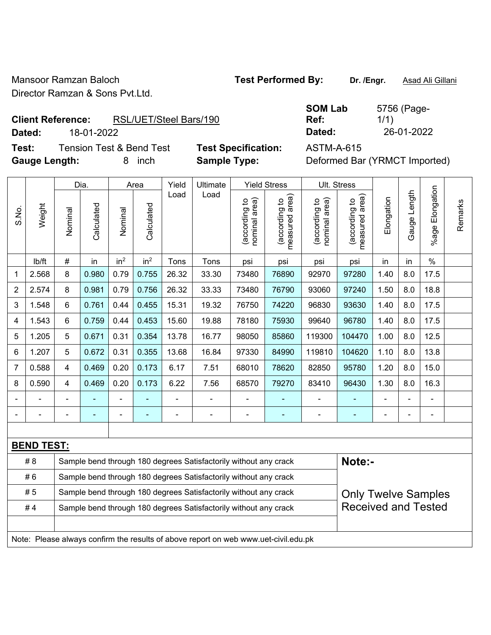Mansoor Ramzan Baloch **Test Performed By:** Dr. /Engr. **Asad Ali Gillani** Director Ramzan & Sons Pvt.Ltd.

# **Client Reference:** RSL/UET/Steel Bars/190

**Dated:** 18-01-2022 **Dated:** 26-01-2022

**Test:** Tension Test & Bend Test **Test Specification:** ASTM-A-615 **Gauge Length:** 8 inch **Sample Type:** Deformed Bar (YRMCT Imported)

| <b>SOM Lab</b> | 5756 (Page- |
|----------------|-------------|
| Ref:           | 1/1)        |
| Dated:         | 26-01-2022  |

|                |                   |                                                                  | Dia.       |                 | Area            | Yield | Ultimate                                                                            |                                | <b>Yield Stress</b>             |                                | Ult. Stress                     |                |                |                       |         |
|----------------|-------------------|------------------------------------------------------------------|------------|-----------------|-----------------|-------|-------------------------------------------------------------------------------------|--------------------------------|---------------------------------|--------------------------------|---------------------------------|----------------|----------------|-----------------------|---------|
| S.No.          | Weight            | Nominal                                                          | Calculated | Nominal         | Calculated      | Load  | Load                                                                                | nominal area)<br>(according to | (according to<br>measured area) | (according to<br>nominal area) | measured area)<br>(according to | Elongation     | Gauge Length   | Elongation<br>$%$ age | Remarks |
|                | lb/ft             | #                                                                | in         | in <sup>2</sup> | in <sup>2</sup> | Tons  | Tons                                                                                | psi                            | psi                             | psi                            | psi                             | in             | in             | $\%$                  |         |
| 1              | 2.568             | 8                                                                | 0.980      | 0.79            | 0.755           | 26.32 | 33.30                                                                               | 73480                          | 76890                           | 92970                          | 97280                           | 1.40           | 8.0            | 17.5                  |         |
| $\overline{2}$ | 2.574             | 8                                                                | 0.981      | 0.79            | 0.756           | 26.32 | 33.33                                                                               | 73480                          | 76790                           | 93060                          | 97240                           | 1.50           | 8.0            | 18.8                  |         |
| 3              | 1.548             | 6                                                                | 0.761      | 0.44            | 0.455           | 15.31 | 19.32                                                                               | 76750                          | 74220                           | 96830                          | 93630                           | 1.40           | 8.0            | 17.5                  |         |
| 4              | 1.543             | 6                                                                | 0.759      | 0.44            | 0.453           | 15.60 | 19.88                                                                               | 78180                          | 75930                           | 99640                          | 96780                           | 1.40           | 8.0            | 17.5                  |         |
| 5              | 1.205             | 5                                                                | 0.671      | 0.31            | 0.354           | 13.78 | 16.77                                                                               | 98050                          | 85860                           | 119300                         | 104470                          | 1.00           | 8.0            | 12.5                  |         |
| 6              | 1.207             | 5                                                                | 0.672      | 0.31            | 0.355           | 13.68 | 16.84                                                                               | 97330                          | 84990                           | 119810                         | 104620                          | 1.10           | 8.0            | 13.8                  |         |
| $\overline{7}$ | 0.588             | 4                                                                | 0.469      | 0.20            | 0.173           | 6.17  | 7.51                                                                                | 68010                          | 78620                           | 82850                          | 95780                           | 1.20           | 8.0            | 15.0                  |         |
| 8              | 0.590             | 4                                                                | 0.469      | 0.20            | 0.173           | 6.22  | 7.56                                                                                | 68570                          | 79270                           | 83410                          | 96430                           | 1.30           | 8.0            | 16.3                  |         |
|                |                   |                                                                  |            |                 |                 |       |                                                                                     |                                |                                 |                                |                                 |                |                |                       |         |
|                |                   | $\blacksquare$                                                   |            | $\blacksquare$  |                 | L,    | $\blacksquare$                                                                      | $\blacksquare$                 | $\blacksquare$                  | $\blacksquare$                 | ۰                               | $\blacksquare$ | $\blacksquare$ | $\blacksquare$        |         |
|                |                   |                                                                  |            |                 |                 |       |                                                                                     |                                |                                 |                                |                                 |                |                |                       |         |
|                | <b>BEND TEST:</b> |                                                                  |            |                 |                 |       |                                                                                     |                                |                                 |                                |                                 |                |                |                       |         |
|                | # 8               |                                                                  |            |                 |                 |       | Sample bend through 180 degrees Satisfactorily without any crack                    |                                |                                 |                                | Note:-                          |                |                |                       |         |
|                | #6                | Sample bend through 180 degrees Satisfactorily without any crack |            |                 |                 |       |                                                                                     |                                |                                 |                                |                                 |                |                |                       |         |
|                | #5                |                                                                  |            |                 |                 |       | Sample bend through 180 degrees Satisfactorily without any crack                    |                                |                                 |                                | <b>Only Twelve Samples</b>      |                |                |                       |         |
|                | #4                |                                                                  |            |                 |                 |       | Sample bend through 180 degrees Satisfactorily without any crack                    |                                |                                 |                                | <b>Received and Tested</b>      |                |                |                       |         |
|                |                   |                                                                  |            |                 |                 |       |                                                                                     |                                |                                 |                                |                                 |                |                |                       |         |
|                |                   |                                                                  |            |                 |                 |       | Note: Please always confirm the results of above report on web www.uet-civil.edu.pk |                                |                                 |                                |                                 |                |                |                       |         |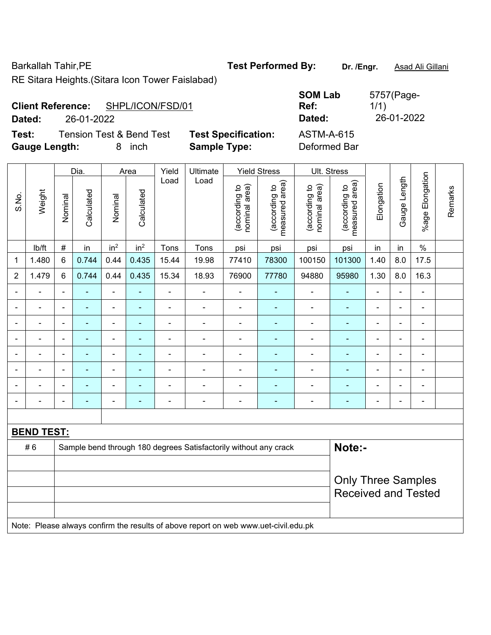Barkallah Tahir, PE **Test Performed By:** Dr. /Engr. **Asad Ali Gillani** 

RE Sitara Heights.(Sitara Icon Tower Faislabad)

| <b>Client Reference:</b> | SHPL/ICON/FSD/01 |
|--------------------------|------------------|
|                          |                  |

**Test:** Tension Test & Bend Test **Test Specification:** ASTM-A-615 **Gauge Length:** 8 inch **Sample Type:** Deformed Bar

|                |                          |                                                         | Dia.           |                          | Area            | Yield          | Ultimate                                                                            |                                | <b>Yield Stress</b>             |                                | Ult. Stress                     |                |                |                      |         |
|----------------|--------------------------|---------------------------------------------------------|----------------|--------------------------|-----------------|----------------|-------------------------------------------------------------------------------------|--------------------------------|---------------------------------|--------------------------------|---------------------------------|----------------|----------------|----------------------|---------|
| S.No.          | Weight                   | Nominal                                                 | Calculated     | Nominal                  | Calculated      | Load           | Load                                                                                | (according to<br>nominal area) | (according to<br>measured area) | nominal area)<br>(according to | (according to<br>measured area) | Elongation     | Gauge Length   | Elongation<br>%age I | Remarks |
|                | Ib/ft                    | $\#$                                                    | in             | in <sup>2</sup>          | in <sup>2</sup> | Tons           | Tons                                                                                | psi                            | psi                             | psi                            | psi                             | in             | in             | $\%$                 |         |
| 1              | 1.480                    | 6                                                       | 0.744          | 0.44                     | 0.435           | 15.44          | 19.98                                                                               | 77410                          | 78300                           | 100150                         | 101300                          | 1.40           | 8.0            | 17.5                 |         |
| $\overline{2}$ | 1.479                    | 6                                                       | 0.744          | 0.44                     | 0.435           | 15.34          | 18.93                                                                               | 76900                          | 77780                           | 94880                          | 95980                           | 1.30           | 8.0            | 16.3                 |         |
| $\blacksquare$ | $\overline{\phantom{0}}$ | $\blacksquare$                                          | $\blacksquare$ | ä,                       | Ξ               | $\blacksquare$ | $\blacksquare$                                                                      | $\qquad \qquad \blacksquare$   | ä,                              | ÷,                             | ÷                               | $\blacksquare$ | $\blacksquare$ | ÷,                   |         |
|                | $\blacksquare$           | $\blacksquare$                                          | $\blacksquare$ | $\blacksquare$           | ÷,              | $\blacksquare$ | $\overline{\phantom{a}}$                                                            | $\qquad \qquad \blacksquare$   | ۰                               | $\blacksquare$                 | ÷                               | $\blacksquare$ | ä,             | $\blacksquare$       |         |
|                | $\blacksquare$           | $\overline{\phantom{a}}$                                | $\blacksquare$ | $\blacksquare$           | ۰               | $\blacksquare$ | ä,                                                                                  | ä,                             | $\blacksquare$                  | $\blacksquare$                 | ۰                               | $\blacksquare$ | $\blacksquare$ | $\blacksquare$       |         |
|                | -                        | $\blacksquare$                                          | ٠              | $\overline{\phantom{0}}$ | ٠               | $\blacksquare$ | $\blacksquare$                                                                      | ÷                              | $\blacksquare$                  | ÷                              | ۰                               | $\blacksquare$ |                | $\blacksquare$       |         |
|                |                          |                                                         |                |                          |                 |                | $\blacksquare$                                                                      |                                | $\blacksquare$                  | ۰                              | $\blacksquare$                  |                |                |                      |         |
|                |                          |                                                         |                |                          |                 |                |                                                                                     |                                |                                 | ÷                              |                                 |                |                | ÷                    |         |
|                |                          |                                                         |                |                          |                 |                | $\blacksquare$                                                                      | $\blacksquare$                 | $\blacksquare$                  | $\blacksquare$                 |                                 | $\blacksquare$ |                | $\blacksquare$       |         |
|                | $\overline{a}$           | $\blacksquare$                                          | ٠              | $\overline{a}$           |                 |                | $\overline{a}$                                                                      | ÷                              | ä,                              | ÷                              | ÷                               |                | ä,             | $\blacksquare$       |         |
|                |                          |                                                         |                |                          |                 |                |                                                                                     |                                |                                 |                                |                                 |                |                |                      |         |
|                | <b>BEND TEST:</b>        |                                                         |                |                          |                 |                |                                                                                     |                                |                                 |                                |                                 |                |                |                      |         |
|                | #6                       |                                                         |                |                          |                 |                | Sample bend through 180 degrees Satisfactorily without any crack                    |                                |                                 |                                | Note:-                          |                |                |                      |         |
|                |                          |                                                         |                |                          |                 |                |                                                                                     |                                |                                 |                                |                                 |                |                |                      |         |
|                |                          | <b>Only Three Samples</b><br><b>Received and Tested</b> |                |                          |                 |                |                                                                                     |                                |                                 |                                |                                 |                |                |                      |         |
|                |                          |                                                         |                |                          |                 |                | Note: Please always confirm the results of above report on web www.uet-civil.edu.pk |                                |                                 |                                |                                 |                |                |                      |         |

**SOM Lab Ref:**  5757(Page-1/1) **Dated:** 26-01-2022 **Dated:** 26-01-2022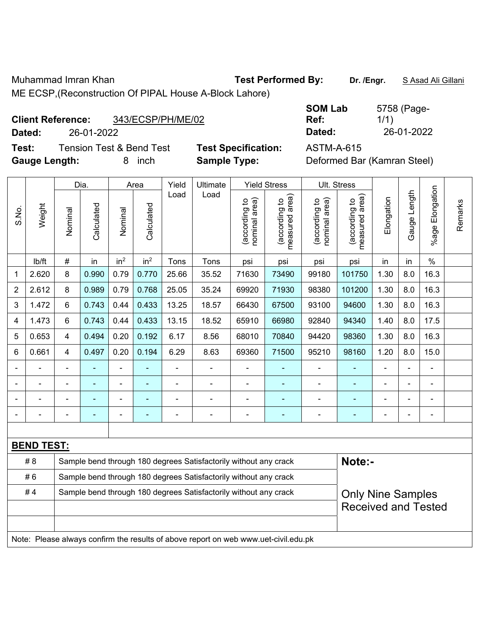Muhammad Imran Khan **Test Performed By: Dr. /Engr.** S Asad Ali Gillani ME ECSP,(Reconstruction Of PIPAL House A-Block Lahore)

## Client Reference: 343/ECSP/PH/

**Dated:** 26-01-2022 **Dated:** 26-01-2022

**Test:** Tension Test & Bend Test **Test Specification:** ASTM-A-615 **Gauge Length:** 8 inch **Sample Type:** Deformed Bar (Kamran Steel)

| $188907$ , $10001$ , $20110$ , $37$ |           |
|-------------------------------------|-----------|
|                                     | <b>SC</b> |
| /ME/02                              | R         |

| <b>SOM Lab</b> | 5758 (Page- |
|----------------|-------------|
| Ref:           | 1/1)        |
| Dated:         | 26-01-2022  |

|                |                   |                                                                                              | Dia.<br>Area |                 | <b>Yield Stress</b><br>Yield<br>Ultimate |       |                                                                                     | Ult. Stress                    |                                             |                                |                                 |            |                |                       |         |
|----------------|-------------------|----------------------------------------------------------------------------------------------|--------------|-----------------|------------------------------------------|-------|-------------------------------------------------------------------------------------|--------------------------------|---------------------------------------------|--------------------------------|---------------------------------|------------|----------------|-----------------------|---------|
| S.No.          | Weight            | Nominal                                                                                      | Calculated   | Nominal         | Calculated                               | Load  | Load                                                                                | nominal area)<br>(according to | (according to<br>neasured area)<br>measured | nominal area)<br>(according to | (according to<br>measured area) | Elongation | Gauge Length   | Elongation<br>$%$ age | Remarks |
|                | lb/ft             | #                                                                                            | in           | in <sup>2</sup> | in <sup>2</sup>                          | Tons  | Tons                                                                                | psi                            | psi                                         | psi                            | psi                             | in         | in             | $\%$                  |         |
| 1              | 2.620             | 8                                                                                            | 0.990        | 0.79            | 0.770                                    | 25.66 | 35.52                                                                               | 71630                          | 73490                                       | 99180                          | 101750                          | 1.30       | 8.0            | 16.3                  |         |
| $\overline{2}$ | 2.612             | 8                                                                                            | 0.989        | 0.79            | 0.768                                    | 25.05 | 35.24                                                                               | 69920                          | 71930                                       | 98380                          | 101200                          | 1.30       | 8.0            | 16.3                  |         |
| 3              | 1.472             | 6                                                                                            | 0.743        | 0.44            | 0.433                                    | 13.25 | 18.57                                                                               | 66430                          | 67500                                       | 93100                          | 94600                           | 1.30       | 8.0            | 16.3                  |         |
| 4              | 1.473             | 6                                                                                            | 0.743        | 0.44            | 0.433                                    | 13.15 | 18.52                                                                               | 65910                          | 66980                                       | 92840                          | 94340                           | 1.40       | 8.0            | 17.5                  |         |
| 5              | 0.653             | 4                                                                                            | 0.494        | 0.20            | 0.192                                    | 6.17  | 8.56                                                                                | 68010                          | 70840                                       | 94420                          | 98360                           | 1.30       | 8.0            | 16.3                  |         |
| 6              | 0.661             | 4                                                                                            | 0.497        | 0.20            | 0.194                                    | 6.29  | 8.63                                                                                | 69360                          | 71500                                       | 95210                          | 98160                           | 1.20       | 8.0            | 15.0                  |         |
|                |                   |                                                                                              |              | -               |                                          | ä,    | ÷.                                                                                  |                                | ÷,                                          | $\blacksquare$                 |                                 |            | ä,             | ÷.                    |         |
|                |                   |                                                                                              |              | ۰               |                                          |       | $\blacksquare$                                                                      |                                | ÷                                           | ۰                              |                                 |            |                | $\blacksquare$        |         |
|                |                   |                                                                                              |              | -               |                                          |       | ÷                                                                                   | $\blacksquare$                 | ä,                                          | -                              | ÷                               |            |                | ÷                     |         |
|                |                   | $\blacksquare$                                                                               | ۰            | $\blacksquare$  | ۰                                        | -     | $\overline{a}$                                                                      | $\blacksquare$                 | ٠                                           | $\blacksquare$                 |                                 |            | $\overline{a}$ | $\overline{a}$        |         |
|                |                   |                                                                                              |              |                 |                                          |       |                                                                                     |                                |                                             |                                |                                 |            |                |                       |         |
|                | <b>BEND TEST:</b> |                                                                                              |              |                 |                                          |       |                                                                                     |                                |                                             |                                |                                 |            |                |                       |         |
|                | # 8               |                                                                                              |              |                 |                                          |       | Sample bend through 180 degrees Satisfactorily without any crack                    |                                |                                             |                                | Note:-                          |            |                |                       |         |
|                | #6                | Sample bend through 180 degrees Satisfactorily without any crack                             |              |                 |                                          |       |                                                                                     |                                |                                             |                                |                                 |            |                |                       |         |
|                | #4                | Sample bend through 180 degrees Satisfactorily without any crack<br><b>Only Nine Samples</b> |              |                 |                                          |       |                                                                                     |                                |                                             |                                |                                 |            |                |                       |         |
|                |                   |                                                                                              |              |                 |                                          |       |                                                                                     |                                | <b>Received and Tested</b>                  |                                |                                 |            |                |                       |         |
|                |                   |                                                                                              |              |                 |                                          |       |                                                                                     |                                |                                             |                                |                                 |            |                |                       |         |
|                |                   |                                                                                              |              |                 |                                          |       | Note: Please always confirm the results of above report on web www.uet-civil.edu.pk |                                |                                             |                                |                                 |            |                |                       |         |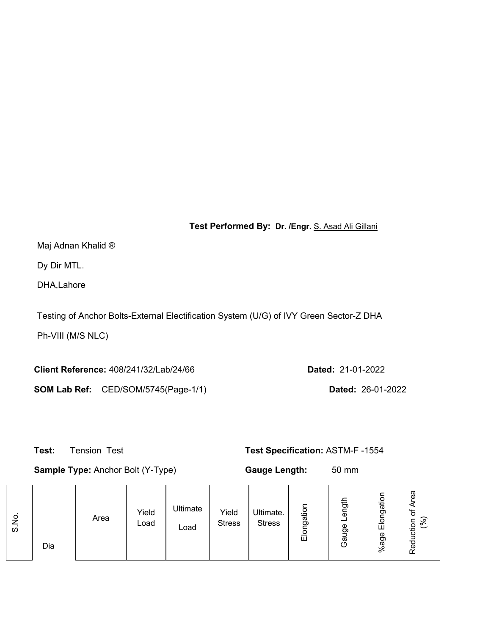**Test Performed By: Dr. /Engr.** S. Asad Ali Gillani

Maj Adnan Khalid ®

Dy Dir MTL.

DHA,Lahore

Testing of Anchor Bolts-External Electification System (U/G) of IVY Green Sector-Z DHA

Ph-VIII (M/S NLC)

**Client Reference:** 408/241/32/Lab/24/66 **Dated:** 21-01-2022 **SOM Lab Ref:** CED/SOM/5745(Page-1/1) **Dated:** 26-01-2022

 **Test:** Tension Test **Test Specification:** ASTM-F -1554

**Sample Type:** Anchor Bolt (Y-Type) **Gauge Length:** 50 mm

| O<br>ഗ | Dia | Area | Yield<br>Load | Ultimate<br>Load | Yield<br><b>Stress</b> | Ultimate.<br><b>Stress</b> | ءِ<br>ā<br>ත<br>Ш | 。<br>ō<br>ჭ<br>ω<br>O | gation<br>$\circ$<br>靣<br>age<br>వి | rea<br>'ত<br>ີ<br>◇<br>uctio<br>د<br>Red |
|--------|-----|------|---------------|------------------|------------------------|----------------------------|-------------------|-----------------------|-------------------------------------|------------------------------------------|
|--------|-----|------|---------------|------------------|------------------------|----------------------------|-------------------|-----------------------|-------------------------------------|------------------------------------------|